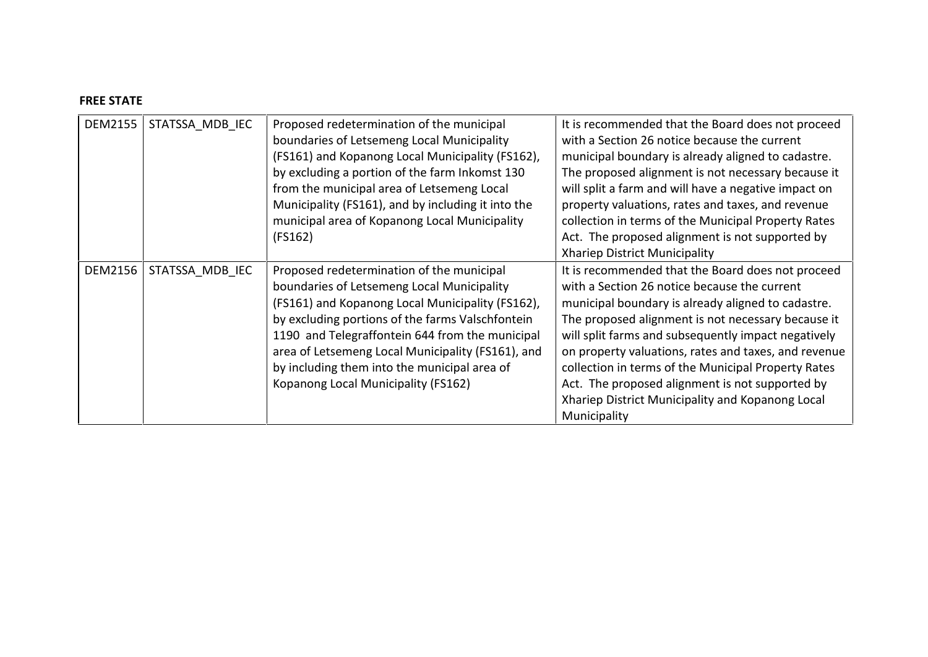## **FREE STATE**

| DEM2155 | STATSSA MDB IEC | Proposed redetermination of the municipal<br>boundaries of Letsemeng Local Municipality<br>(FS161) and Kopanong Local Municipality (FS162),<br>by excluding a portion of the farm Inkomst 130<br>from the municipal area of Letsemeng Local<br>Municipality (FS161), and by including it into the                                                                                              | It is recommended that the Board does not proceed<br>with a Section 26 notice because the current<br>municipal boundary is already aligned to cadastre.<br>The proposed alignment is not necessary because it<br>will split a farm and will have a negative impact on<br>property valuations, rates and taxes, and revenue                                                                                                                                                                                 |
|---------|-----------------|------------------------------------------------------------------------------------------------------------------------------------------------------------------------------------------------------------------------------------------------------------------------------------------------------------------------------------------------------------------------------------------------|------------------------------------------------------------------------------------------------------------------------------------------------------------------------------------------------------------------------------------------------------------------------------------------------------------------------------------------------------------------------------------------------------------------------------------------------------------------------------------------------------------|
|         |                 | municipal area of Kopanong Local Municipality<br>(FS162)                                                                                                                                                                                                                                                                                                                                       | collection in terms of the Municipal Property Rates<br>Act. The proposed alignment is not supported by<br><b>Xhariep District Municipality</b>                                                                                                                                                                                                                                                                                                                                                             |
| DEM2156 | STATSSA MDB IEC | Proposed redetermination of the municipal<br>boundaries of Letsemeng Local Municipality<br>(FS161) and Kopanong Local Municipality (FS162),<br>by excluding portions of the farms Valschfontein<br>1190 and Telegraffontein 644 from the municipal<br>area of Letsemeng Local Municipality (FS161), and<br>by including them into the municipal area of<br>Kopanong Local Municipality (FS162) | It is recommended that the Board does not proceed<br>with a Section 26 notice because the current<br>municipal boundary is already aligned to cadastre.<br>The proposed alignment is not necessary because it<br>will split farms and subsequently impact negatively<br>on property valuations, rates and taxes, and revenue<br>collection in terms of the Municipal Property Rates<br>Act. The proposed alignment is not supported by<br>Xhariep District Municipality and Kopanong Local<br>Municipality |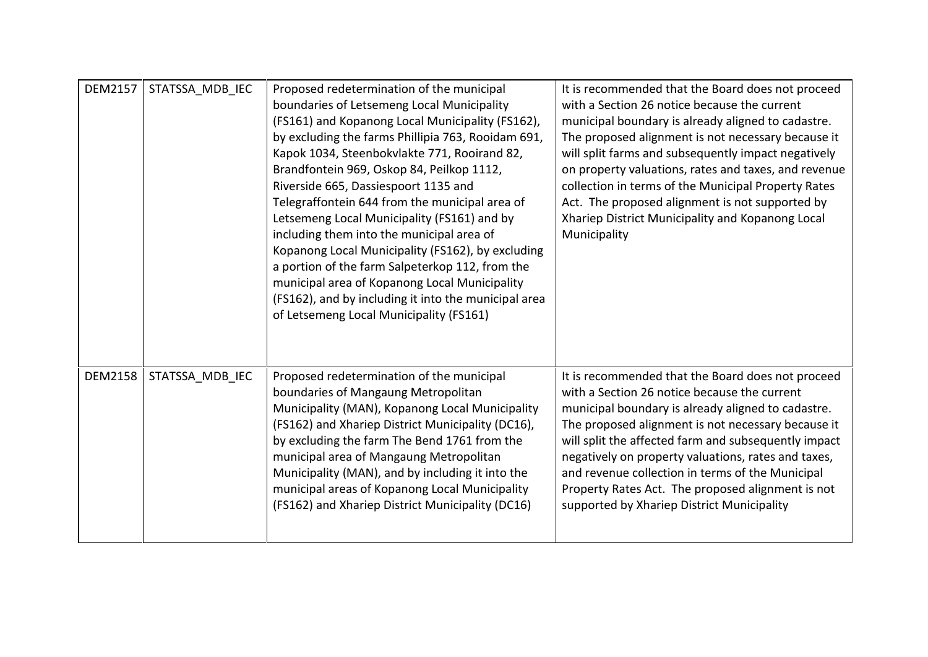| <b>DEM2157</b> | STATSSA MDB IEC | Proposed redetermination of the municipal<br>boundaries of Letsemeng Local Municipality<br>(FS161) and Kopanong Local Municipality (FS162),<br>by excluding the farms Phillipia 763, Rooidam 691,<br>Kapok 1034, Steenbokvlakte 771, Rooirand 82,<br>Brandfontein 969, Oskop 84, Peilkop 1112,<br>Riverside 665, Dassiespoort 1135 and<br>Telegraffontein 644 from the municipal area of<br>Letsemeng Local Municipality (FS161) and by<br>including them into the municipal area of<br>Kopanong Local Municipality (FS162), by excluding<br>a portion of the farm Salpeterkop 112, from the<br>municipal area of Kopanong Local Municipality<br>(FS162), and by including it into the municipal area<br>of Letsemeng Local Municipality (FS161) | It is recommended that the Board does not proceed<br>with a Section 26 notice because the current<br>municipal boundary is already aligned to cadastre.<br>The proposed alignment is not necessary because it<br>will split farms and subsequently impact negatively<br>on property valuations, rates and taxes, and revenue<br>collection in terms of the Municipal Property Rates<br>Act. The proposed alignment is not supported by<br>Xhariep District Municipality and Kopanong Local<br>Municipality |
|----------------|-----------------|--------------------------------------------------------------------------------------------------------------------------------------------------------------------------------------------------------------------------------------------------------------------------------------------------------------------------------------------------------------------------------------------------------------------------------------------------------------------------------------------------------------------------------------------------------------------------------------------------------------------------------------------------------------------------------------------------------------------------------------------------|------------------------------------------------------------------------------------------------------------------------------------------------------------------------------------------------------------------------------------------------------------------------------------------------------------------------------------------------------------------------------------------------------------------------------------------------------------------------------------------------------------|
| <b>DEM2158</b> | STATSSA MDB IEC | Proposed redetermination of the municipal<br>boundaries of Mangaung Metropolitan<br>Municipality (MAN), Kopanong Local Municipality<br>(FS162) and Xhariep District Municipality (DC16),<br>by excluding the farm The Bend 1761 from the<br>municipal area of Mangaung Metropolitan<br>Municipality (MAN), and by including it into the<br>municipal areas of Kopanong Local Municipality<br>(FS162) and Xhariep District Municipality (DC16)                                                                                                                                                                                                                                                                                                    | It is recommended that the Board does not proceed<br>with a Section 26 notice because the current<br>municipal boundary is already aligned to cadastre.<br>The proposed alignment is not necessary because it<br>will split the affected farm and subsequently impact<br>negatively on property valuations, rates and taxes,<br>and revenue collection in terms of the Municipal<br>Property Rates Act. The proposed alignment is not<br>supported by Xhariep District Municipality                        |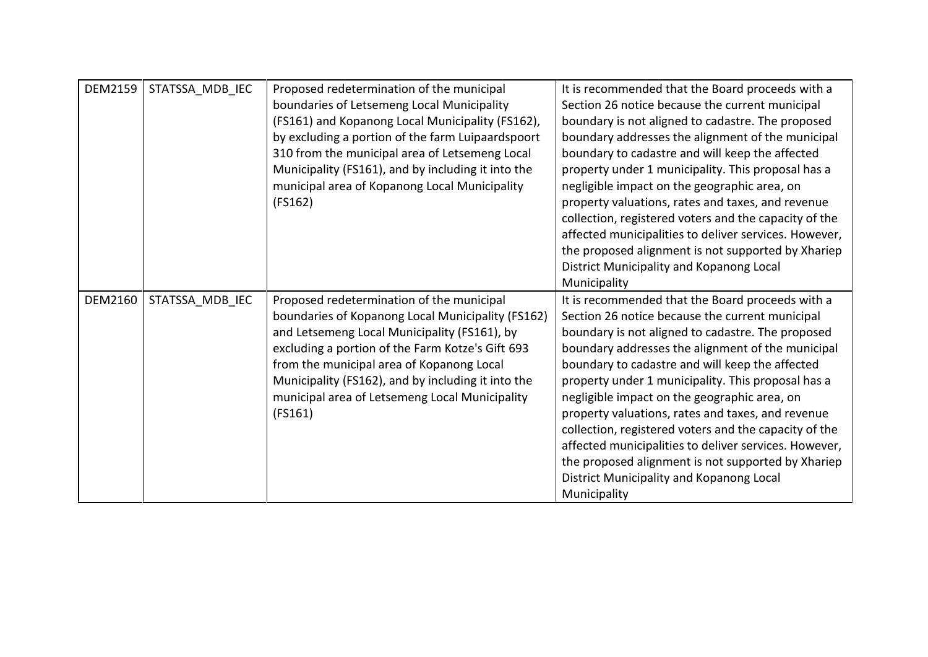| <b>DEM2159</b> | STATSSA MDB IEC | Proposed redetermination of the municipal          | It is recommended that the Board proceeds with a      |
|----------------|-----------------|----------------------------------------------------|-------------------------------------------------------|
|                |                 | boundaries of Letsemeng Local Municipality         | Section 26 notice because the current municipal       |
|                |                 | (FS161) and Kopanong Local Municipality (FS162),   | boundary is not aligned to cadastre. The proposed     |
|                |                 | by excluding a portion of the farm Luipaardspoort  | boundary addresses the alignment of the municipal     |
|                |                 | 310 from the municipal area of Letsemeng Local     | boundary to cadastre and will keep the affected       |
|                |                 | Municipality (FS161), and by including it into the | property under 1 municipality. This proposal has a    |
|                |                 | municipal area of Kopanong Local Municipality      | negligible impact on the geographic area, on          |
|                |                 | (FS162)                                            | property valuations, rates and taxes, and revenue     |
|                |                 |                                                    | collection, registered voters and the capacity of the |
|                |                 |                                                    | affected municipalities to deliver services. However, |
|                |                 |                                                    | the proposed alignment is not supported by Xhariep    |
|                |                 |                                                    | District Municipality and Kopanong Local              |
|                |                 |                                                    | Municipality                                          |
| <b>DEM2160</b> | STATSSA MDB IEC | Proposed redetermination of the municipal          | It is recommended that the Board proceeds with a      |
|                |                 | boundaries of Kopanong Local Municipality (FS162)  | Section 26 notice because the current municipal       |
|                |                 | and Letsemeng Local Municipality (FS161), by       | boundary is not aligned to cadastre. The proposed     |
|                |                 | excluding a portion of the Farm Kotze's Gift 693   | boundary addresses the alignment of the municipal     |
|                |                 | from the municipal area of Kopanong Local          | boundary to cadastre and will keep the affected       |
|                |                 | Municipality (FS162), and by including it into the | property under 1 municipality. This proposal has a    |
|                |                 | municipal area of Letsemeng Local Municipality     | negligible impact on the geographic area, on          |
|                |                 | (FS161)                                            | property valuations, rates and taxes, and revenue     |
|                |                 |                                                    | collection, registered voters and the capacity of the |
|                |                 |                                                    | affected municipalities to deliver services. However, |
|                |                 |                                                    | the proposed alignment is not supported by Xhariep    |
|                |                 |                                                    | District Municipality and Kopanong Local              |
|                |                 |                                                    | Municipality                                          |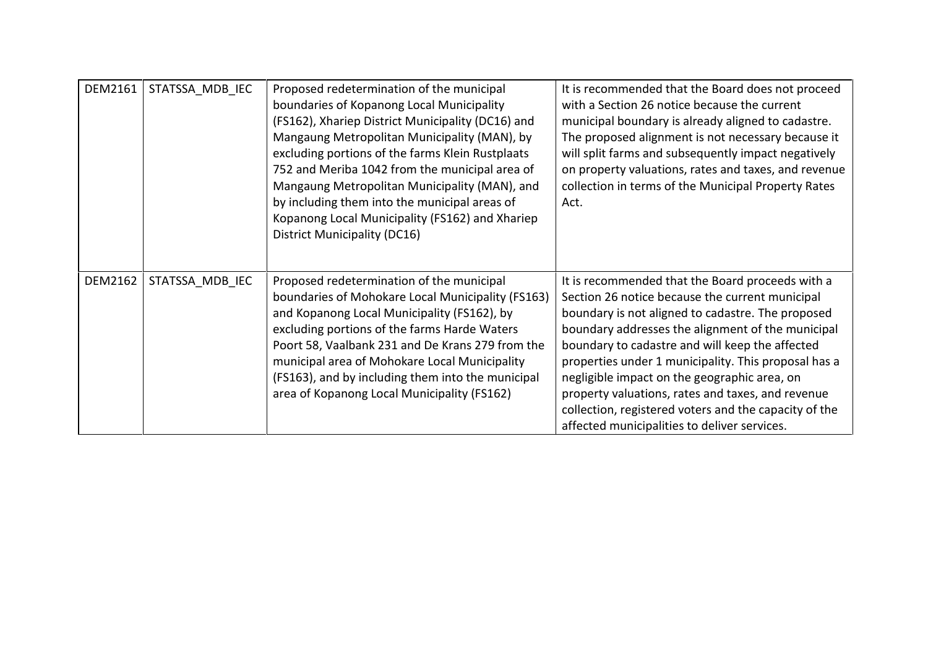| DEM2161        | STATSSA MDB IEC | Proposed redetermination of the municipal<br>boundaries of Kopanong Local Municipality<br>(FS162), Xhariep District Municipality (DC16) and<br>Mangaung Metropolitan Municipality (MAN), by<br>excluding portions of the farms Klein Rustplaats<br>752 and Meriba 1042 from the municipal area of<br>Mangaung Metropolitan Municipality (MAN), and<br>by including them into the municipal areas of<br>Kopanong Local Municipality (FS162) and Xhariep<br>District Municipality (DC16) | It is recommended that the Board does not proceed<br>with a Section 26 notice because the current<br>municipal boundary is already aligned to cadastre.<br>The proposed alignment is not necessary because it<br>will split farms and subsequently impact negatively<br>on property valuations, rates and taxes, and revenue<br>collection in terms of the Municipal Property Rates<br>Act.                                                                                                                                            |
|----------------|-----------------|----------------------------------------------------------------------------------------------------------------------------------------------------------------------------------------------------------------------------------------------------------------------------------------------------------------------------------------------------------------------------------------------------------------------------------------------------------------------------------------|----------------------------------------------------------------------------------------------------------------------------------------------------------------------------------------------------------------------------------------------------------------------------------------------------------------------------------------------------------------------------------------------------------------------------------------------------------------------------------------------------------------------------------------|
| <b>DEM2162</b> | STATSSA MDB IEC | Proposed redetermination of the municipal<br>boundaries of Mohokare Local Municipality (FS163)<br>and Kopanong Local Municipality (FS162), by<br>excluding portions of the farms Harde Waters<br>Poort 58, Vaalbank 231 and De Krans 279 from the<br>municipal area of Mohokare Local Municipality<br>(FS163), and by including them into the municipal<br>area of Kopanong Local Municipality (FS162)                                                                                 | It is recommended that the Board proceeds with a<br>Section 26 notice because the current municipal<br>boundary is not aligned to cadastre. The proposed<br>boundary addresses the alignment of the municipal<br>boundary to cadastre and will keep the affected<br>properties under 1 municipality. This proposal has a<br>negligible impact on the geographic area, on<br>property valuations, rates and taxes, and revenue<br>collection, registered voters and the capacity of the<br>affected municipalities to deliver services. |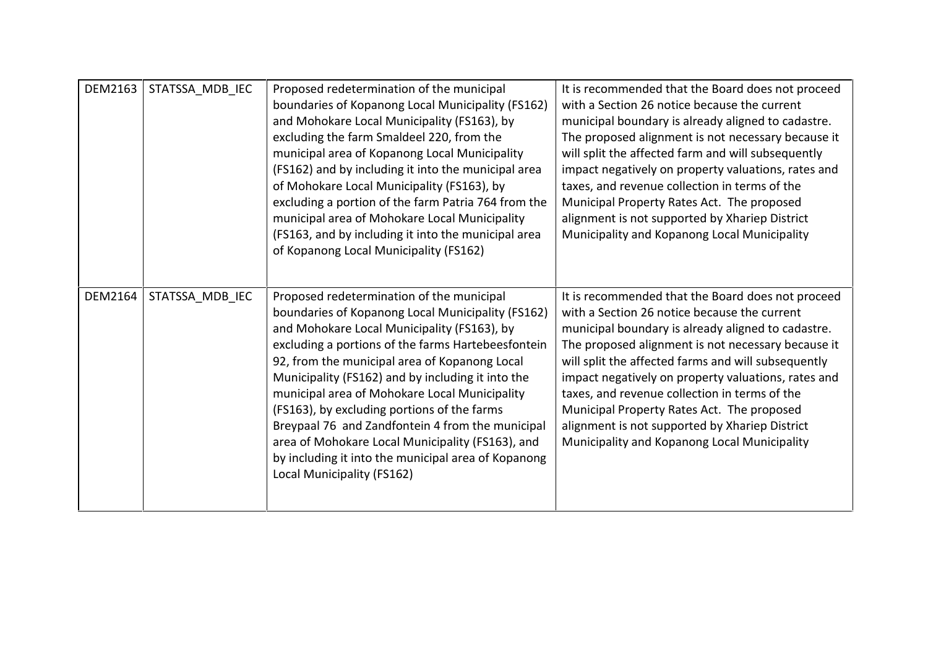| <b>DEM2163</b> | STATSSA MDB IEC | Proposed redetermination of the municipal<br>boundaries of Kopanong Local Municipality (FS162)<br>and Mohokare Local Municipality (FS163), by<br>excluding the farm Smaldeel 220, from the<br>municipal area of Kopanong Local Municipality<br>(FS162) and by including it into the municipal area<br>of Mohokare Local Municipality (FS163), by<br>excluding a portion of the farm Patria 764 from the<br>municipal area of Mohokare Local Municipality<br>(FS163, and by including it into the municipal area<br>of Kopanong Local Municipality (FS162)                                              | It is recommended that the Board does not proceed<br>with a Section 26 notice because the current<br>municipal boundary is already aligned to cadastre.<br>The proposed alignment is not necessary because it<br>will split the affected farm and will subsequently<br>impact negatively on property valuations, rates and<br>taxes, and revenue collection in terms of the<br>Municipal Property Rates Act. The proposed<br>alignment is not supported by Xhariep District<br>Municipality and Kopanong Local Municipality  |
|----------------|-----------------|--------------------------------------------------------------------------------------------------------------------------------------------------------------------------------------------------------------------------------------------------------------------------------------------------------------------------------------------------------------------------------------------------------------------------------------------------------------------------------------------------------------------------------------------------------------------------------------------------------|------------------------------------------------------------------------------------------------------------------------------------------------------------------------------------------------------------------------------------------------------------------------------------------------------------------------------------------------------------------------------------------------------------------------------------------------------------------------------------------------------------------------------|
| <b>DEM2164</b> | STATSSA MDB IEC | Proposed redetermination of the municipal<br>boundaries of Kopanong Local Municipality (FS162)<br>and Mohokare Local Municipality (FS163), by<br>excluding a portions of the farms Hartebeesfontein<br>92, from the municipal area of Kopanong Local<br>Municipality (FS162) and by including it into the<br>municipal area of Mohokare Local Municipality<br>(FS163), by excluding portions of the farms<br>Breypaal 76 and Zandfontein 4 from the municipal<br>area of Mohokare Local Municipality (FS163), and<br>by including it into the municipal area of Kopanong<br>Local Municipality (FS162) | It is recommended that the Board does not proceed<br>with a Section 26 notice because the current<br>municipal boundary is already aligned to cadastre.<br>The proposed alignment is not necessary because it<br>will split the affected farms and will subsequently<br>impact negatively on property valuations, rates and<br>taxes, and revenue collection in terms of the<br>Municipal Property Rates Act. The proposed<br>alignment is not supported by Xhariep District<br>Municipality and Kopanong Local Municipality |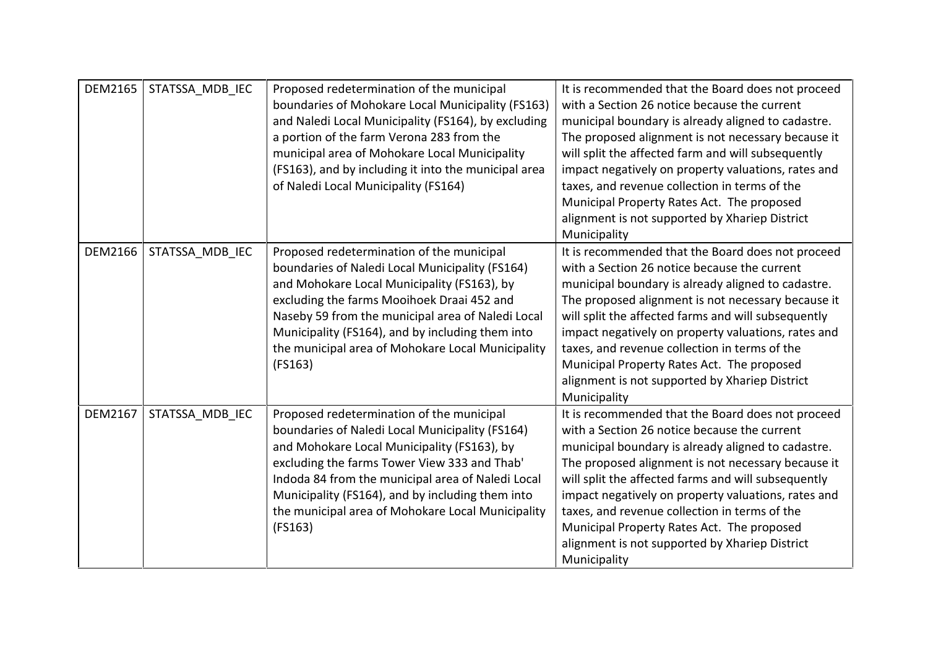| <b>DEM2165</b> | STATSSA MDB IEC | Proposed redetermination of the municipal<br>boundaries of Mohokare Local Municipality (FS163)<br>and Naledi Local Municipality (FS164), by excluding<br>a portion of the farm Verona 283 from the<br>municipal area of Mohokare Local Municipality<br>(FS163), and by including it into the municipal area<br>of Naledi Local Municipality (FS164)                  | It is recommended that the Board does not proceed<br>with a Section 26 notice because the current<br>municipal boundary is already aligned to cadastre.<br>The proposed alignment is not necessary because it<br>will split the affected farm and will subsequently<br>impact negatively on property valuations, rates and<br>taxes, and revenue collection in terms of the<br>Municipal Property Rates Act. The proposed<br>alignment is not supported by Xhariep District<br>Municipality  |
|----------------|-----------------|----------------------------------------------------------------------------------------------------------------------------------------------------------------------------------------------------------------------------------------------------------------------------------------------------------------------------------------------------------------------|----------------------------------------------------------------------------------------------------------------------------------------------------------------------------------------------------------------------------------------------------------------------------------------------------------------------------------------------------------------------------------------------------------------------------------------------------------------------------------------------|
| <b>DEM2166</b> | STATSSA MDB IEC | Proposed redetermination of the municipal<br>boundaries of Naledi Local Municipality (FS164)<br>and Mohokare Local Municipality (FS163), by<br>excluding the farms Mooihoek Draai 452 and<br>Naseby 59 from the municipal area of Naledi Local<br>Municipality (FS164), and by including them into<br>the municipal area of Mohokare Local Municipality<br>(FS163)   | It is recommended that the Board does not proceed<br>with a Section 26 notice because the current<br>municipal boundary is already aligned to cadastre.<br>The proposed alignment is not necessary because it<br>will split the affected farms and will subsequently<br>impact negatively on property valuations, rates and<br>taxes, and revenue collection in terms of the<br>Municipal Property Rates Act. The proposed<br>alignment is not supported by Xhariep District<br>Municipality |
| DEM2167        | STATSSA MDB IEC | Proposed redetermination of the municipal<br>boundaries of Naledi Local Municipality (FS164)<br>and Mohokare Local Municipality (FS163), by<br>excluding the farms Tower View 333 and Thab'<br>Indoda 84 from the municipal area of Naledi Local<br>Municipality (FS164), and by including them into<br>the municipal area of Mohokare Local Municipality<br>(FS163) | It is recommended that the Board does not proceed<br>with a Section 26 notice because the current<br>municipal boundary is already aligned to cadastre.<br>The proposed alignment is not necessary because it<br>will split the affected farms and will subsequently<br>impact negatively on property valuations, rates and<br>taxes, and revenue collection in terms of the<br>Municipal Property Rates Act. The proposed<br>alignment is not supported by Xhariep District<br>Municipality |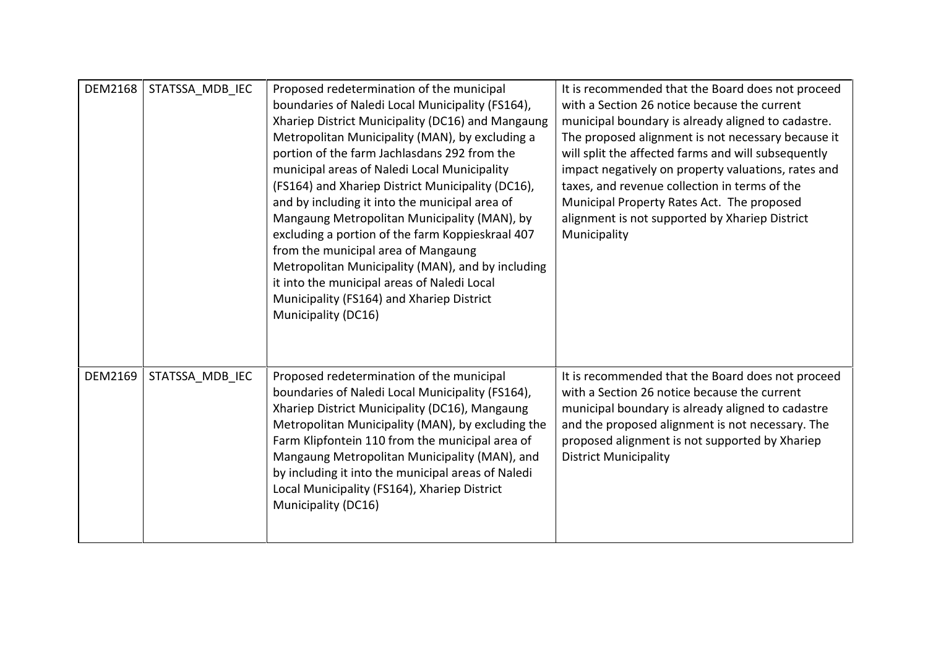| <b>DEM2168</b> | STATSSA_MDB_IEC | Proposed redetermination of the municipal<br>boundaries of Naledi Local Municipality (FS164),<br>Xhariep District Municipality (DC16) and Mangaung<br>Metropolitan Municipality (MAN), by excluding a<br>portion of the farm Jachlasdans 292 from the<br>municipal areas of Naledi Local Municipality<br>(FS164) and Xhariep District Municipality (DC16),<br>and by including it into the municipal area of<br>Mangaung Metropolitan Municipality (MAN), by<br>excluding a portion of the farm Koppieskraal 407<br>from the municipal area of Mangaung<br>Metropolitan Municipality (MAN), and by including<br>it into the municipal areas of Naledi Local<br>Municipality (FS164) and Xhariep District<br>Municipality (DC16) | It is recommended that the Board does not proceed<br>with a Section 26 notice because the current<br>municipal boundary is already aligned to cadastre.<br>The proposed alignment is not necessary because it<br>will split the affected farms and will subsequently<br>impact negatively on property valuations, rates and<br>taxes, and revenue collection in terms of the<br>Municipal Property Rates Act. The proposed<br>alignment is not supported by Xhariep District<br>Municipality |
|----------------|-----------------|---------------------------------------------------------------------------------------------------------------------------------------------------------------------------------------------------------------------------------------------------------------------------------------------------------------------------------------------------------------------------------------------------------------------------------------------------------------------------------------------------------------------------------------------------------------------------------------------------------------------------------------------------------------------------------------------------------------------------------|----------------------------------------------------------------------------------------------------------------------------------------------------------------------------------------------------------------------------------------------------------------------------------------------------------------------------------------------------------------------------------------------------------------------------------------------------------------------------------------------|
| <b>DEM2169</b> | STATSSA_MDB_IEC | Proposed redetermination of the municipal<br>boundaries of Naledi Local Municipality (FS164),<br>Xhariep District Municipality (DC16), Mangaung<br>Metropolitan Municipality (MAN), by excluding the<br>Farm Klipfontein 110 from the municipal area of<br>Mangaung Metropolitan Municipality (MAN), and<br>by including it into the municipal areas of Naledi<br>Local Municipality (FS164), Xhariep District<br>Municipality (DC16)                                                                                                                                                                                                                                                                                           | It is recommended that the Board does not proceed<br>with a Section 26 notice because the current<br>municipal boundary is already aligned to cadastre<br>and the proposed alignment is not necessary. The<br>proposed alignment is not supported by Xhariep<br><b>District Municipality</b>                                                                                                                                                                                                 |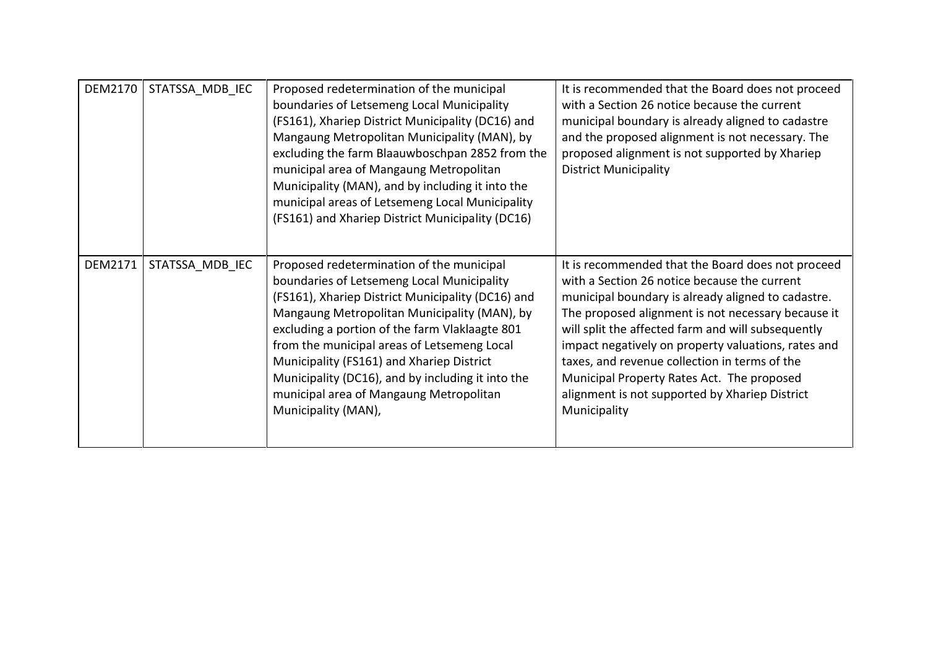| <b>DEM2170</b> | STATSSA MDB IEC | Proposed redetermination of the municipal<br>boundaries of Letsemeng Local Municipality<br>(FS161), Xhariep District Municipality (DC16) and<br>Mangaung Metropolitan Municipality (MAN), by<br>excluding the farm Blaauwboschpan 2852 from the<br>municipal area of Mangaung Metropolitan<br>Municipality (MAN), and by including it into the<br>municipal areas of Letsemeng Local Municipality<br>(FS161) and Xhariep District Municipality (DC16)             | It is recommended that the Board does not proceed<br>with a Section 26 notice because the current<br>municipal boundary is already aligned to cadastre<br>and the proposed alignment is not necessary. The<br>proposed alignment is not supported by Xhariep<br><b>District Municipality</b>                                                                                                                                                                                                |
|----------------|-----------------|-------------------------------------------------------------------------------------------------------------------------------------------------------------------------------------------------------------------------------------------------------------------------------------------------------------------------------------------------------------------------------------------------------------------------------------------------------------------|---------------------------------------------------------------------------------------------------------------------------------------------------------------------------------------------------------------------------------------------------------------------------------------------------------------------------------------------------------------------------------------------------------------------------------------------------------------------------------------------|
| <b>DEM2171</b> | STATSSA MDB IEC | Proposed redetermination of the municipal<br>boundaries of Letsemeng Local Municipality<br>(FS161), Xhariep District Municipality (DC16) and<br>Mangaung Metropolitan Municipality (MAN), by<br>excluding a portion of the farm Vlaklaagte 801<br>from the municipal areas of Letsemeng Local<br>Municipality (FS161) and Xhariep District<br>Municipality (DC16), and by including it into the<br>municipal area of Mangaung Metropolitan<br>Municipality (MAN), | It is recommended that the Board does not proceed<br>with a Section 26 notice because the current<br>municipal boundary is already aligned to cadastre.<br>The proposed alignment is not necessary because it<br>will split the affected farm and will subsequently<br>impact negatively on property valuations, rates and<br>taxes, and revenue collection in terms of the<br>Municipal Property Rates Act. The proposed<br>alignment is not supported by Xhariep District<br>Municipality |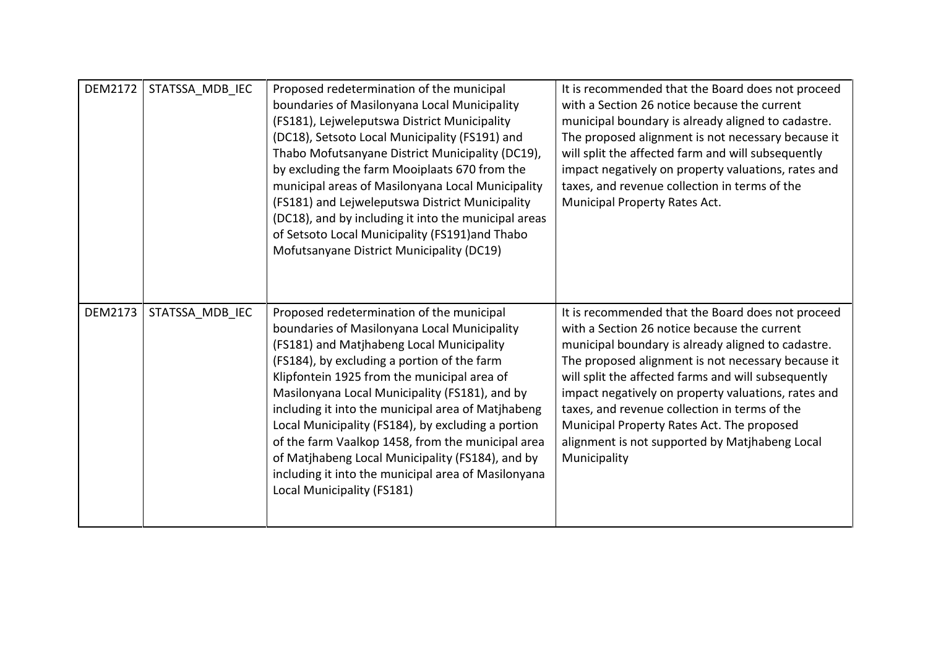| <b>DEM2172</b> | STATSSA MDB IEC | Proposed redetermination of the municipal<br>boundaries of Masilonyana Local Municipality<br>(FS181), Lejweleputswa District Municipality<br>(DC18), Setsoto Local Municipality (FS191) and<br>Thabo Mofutsanyane District Municipality (DC19),<br>by excluding the farm Mooiplaats 670 from the<br>municipal areas of Masilonyana Local Municipality<br>(FS181) and Lejweleputswa District Municipality<br>(DC18), and by including it into the municipal areas<br>of Setsoto Local Municipality (FS191)and Thabo<br>Mofutsanyane District Municipality (DC19)                                  | It is recommended that the Board does not proceed<br>with a Section 26 notice because the current<br>municipal boundary is already aligned to cadastre.<br>The proposed alignment is not necessary because it<br>will split the affected farm and will subsequently<br>impact negatively on property valuations, rates and<br>taxes, and revenue collection in terms of the<br>Municipal Property Rates Act.                                                                                 |
|----------------|-----------------|--------------------------------------------------------------------------------------------------------------------------------------------------------------------------------------------------------------------------------------------------------------------------------------------------------------------------------------------------------------------------------------------------------------------------------------------------------------------------------------------------------------------------------------------------------------------------------------------------|----------------------------------------------------------------------------------------------------------------------------------------------------------------------------------------------------------------------------------------------------------------------------------------------------------------------------------------------------------------------------------------------------------------------------------------------------------------------------------------------|
| <b>DEM2173</b> | STATSSA MDB IEC | Proposed redetermination of the municipal<br>boundaries of Masilonyana Local Municipality<br>(FS181) and Matjhabeng Local Municipality<br>(FS184), by excluding a portion of the farm<br>Klipfontein 1925 from the municipal area of<br>Masilonyana Local Municipality (FS181), and by<br>including it into the municipal area of Matjhabeng<br>Local Municipality (FS184), by excluding a portion<br>of the farm Vaalkop 1458, from the municipal area<br>of Matjhabeng Local Municipality (FS184), and by<br>including it into the municipal area of Masilonyana<br>Local Municipality (FS181) | It is recommended that the Board does not proceed<br>with a Section 26 notice because the current<br>municipal boundary is already aligned to cadastre.<br>The proposed alignment is not necessary because it<br>will split the affected farms and will subsequently<br>impact negatively on property valuations, rates and<br>taxes, and revenue collection in terms of the<br>Municipal Property Rates Act. The proposed<br>alignment is not supported by Matjhabeng Local<br>Municipality |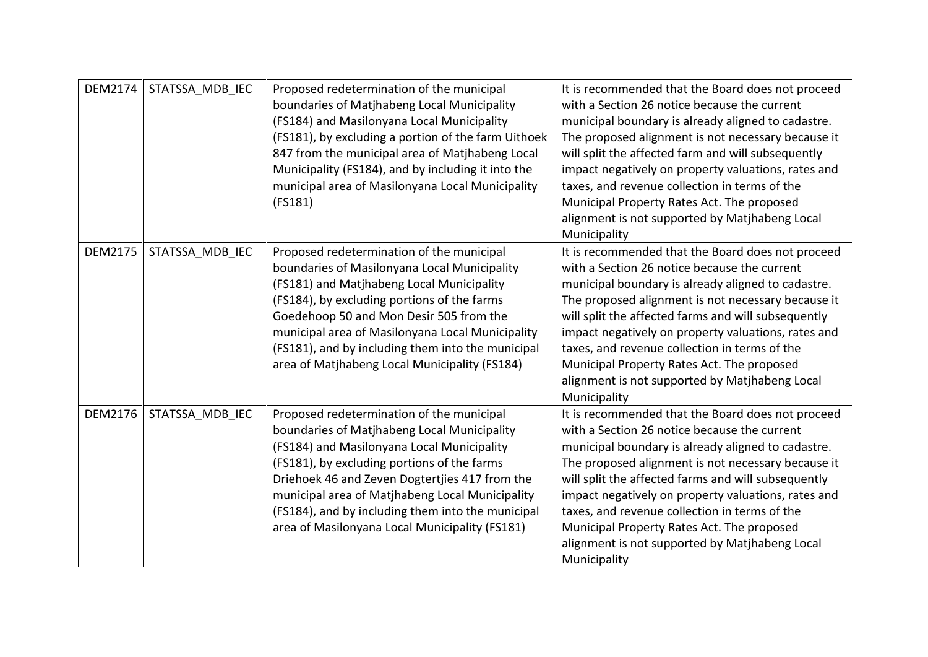| <b>DEM2174</b> | STATSSA MDB IEC | Proposed redetermination of the municipal<br>boundaries of Matjhabeng Local Municipality<br>(FS184) and Masilonyana Local Municipality<br>(FS181), by excluding a portion of the farm Uithoek<br>847 from the municipal area of Matjhabeng Local<br>Municipality (FS184), and by including it into the<br>municipal area of Masilonyana Local Municipality<br>(FS181)                             | It is recommended that the Board does not proceed<br>with a Section 26 notice because the current<br>municipal boundary is already aligned to cadastre.<br>The proposed alignment is not necessary because it<br>will split the affected farm and will subsequently<br>impact negatively on property valuations, rates and<br>taxes, and revenue collection in terms of the<br>Municipal Property Rates Act. The proposed<br>alignment is not supported by Matjhabeng Local<br>Municipality  |
|----------------|-----------------|---------------------------------------------------------------------------------------------------------------------------------------------------------------------------------------------------------------------------------------------------------------------------------------------------------------------------------------------------------------------------------------------------|----------------------------------------------------------------------------------------------------------------------------------------------------------------------------------------------------------------------------------------------------------------------------------------------------------------------------------------------------------------------------------------------------------------------------------------------------------------------------------------------|
| <b>DEM2175</b> | STATSSA MDB IEC | Proposed redetermination of the municipal<br>boundaries of Masilonyana Local Municipality<br>(FS181) and Matjhabeng Local Municipality<br>(FS184), by excluding portions of the farms<br>Goedehoop 50 and Mon Desir 505 from the<br>municipal area of Masilonyana Local Municipality<br>(FS181), and by including them into the municipal<br>area of Matjhabeng Local Municipality (FS184)        | It is recommended that the Board does not proceed<br>with a Section 26 notice because the current<br>municipal boundary is already aligned to cadastre.<br>The proposed alignment is not necessary because it<br>will split the affected farms and will subsequently<br>impact negatively on property valuations, rates and<br>taxes, and revenue collection in terms of the<br>Municipal Property Rates Act. The proposed<br>alignment is not supported by Matjhabeng Local<br>Municipality |
| <b>DEM2176</b> | STATSSA MDB IEC | Proposed redetermination of the municipal<br>boundaries of Matjhabeng Local Municipality<br>(FS184) and Masilonyana Local Municipality<br>(FS181), by excluding portions of the farms<br>Driehoek 46 and Zeven Dogtertjies 417 from the<br>municipal area of Matjhabeng Local Municipality<br>(FS184), and by including them into the municipal<br>area of Masilonyana Local Municipality (FS181) | It is recommended that the Board does not proceed<br>with a Section 26 notice because the current<br>municipal boundary is already aligned to cadastre.<br>The proposed alignment is not necessary because it<br>will split the affected farms and will subsequently<br>impact negatively on property valuations, rates and<br>taxes, and revenue collection in terms of the<br>Municipal Property Rates Act. The proposed<br>alignment is not supported by Matjhabeng Local<br>Municipality |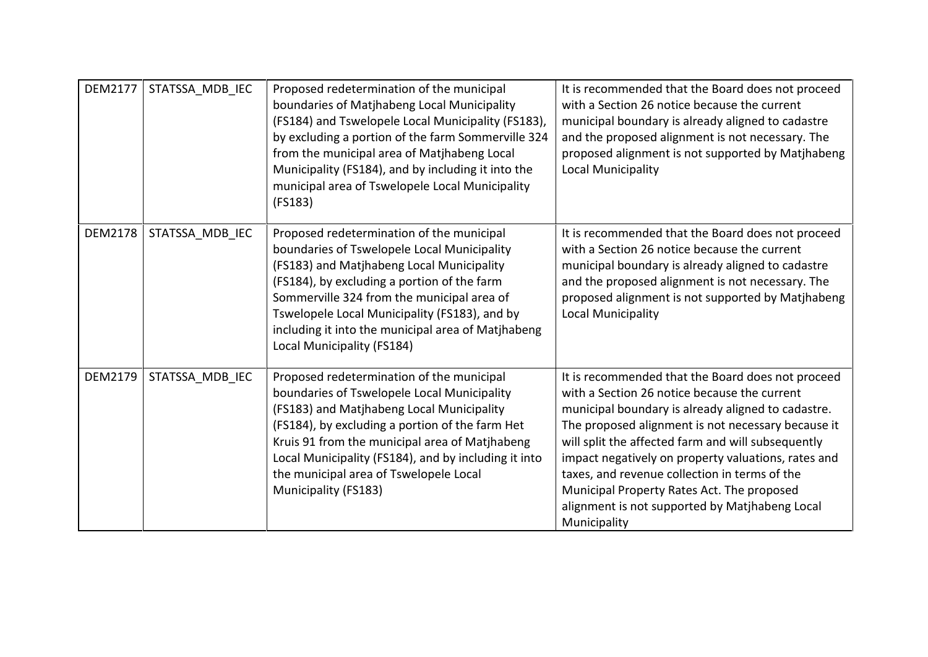| <b>DEM2177</b> | STATSSA_MDB_IEC | Proposed redetermination of the municipal<br>boundaries of Matjhabeng Local Municipality<br>(FS184) and Tswelopele Local Municipality (FS183),<br>by excluding a portion of the farm Sommerville 324<br>from the municipal area of Matjhabeng Local<br>Municipality (FS184), and by including it into the<br>municipal area of Tswelopele Local Municipality<br>(FS183) | It is recommended that the Board does not proceed<br>with a Section 26 notice because the current<br>municipal boundary is already aligned to cadastre<br>and the proposed alignment is not necessary. The<br>proposed alignment is not supported by Matjhabeng<br><b>Local Municipality</b>                                                                                                                                                                                                |
|----------------|-----------------|-------------------------------------------------------------------------------------------------------------------------------------------------------------------------------------------------------------------------------------------------------------------------------------------------------------------------------------------------------------------------|---------------------------------------------------------------------------------------------------------------------------------------------------------------------------------------------------------------------------------------------------------------------------------------------------------------------------------------------------------------------------------------------------------------------------------------------------------------------------------------------|
| <b>DEM2178</b> | STATSSA MDB IEC | Proposed redetermination of the municipal<br>boundaries of Tswelopele Local Municipality<br>(FS183) and Matjhabeng Local Municipality<br>(FS184), by excluding a portion of the farm<br>Sommerville 324 from the municipal area of<br>Tswelopele Local Municipality (FS183), and by<br>including it into the municipal area of Matjhabeng<br>Local Municipality (FS184) | It is recommended that the Board does not proceed<br>with a Section 26 notice because the current<br>municipal boundary is already aligned to cadastre<br>and the proposed alignment is not necessary. The<br>proposed alignment is not supported by Matjhabeng<br><b>Local Municipality</b>                                                                                                                                                                                                |
| <b>DEM2179</b> | STATSSA_MDB_IEC | Proposed redetermination of the municipal<br>boundaries of Tswelopele Local Municipality<br>(FS183) and Matjhabeng Local Municipality<br>(FS184), by excluding a portion of the farm Het<br>Kruis 91 from the municipal area of Matjhabeng<br>Local Municipality (FS184), and by including it into<br>the municipal area of Tswelopele Local<br>Municipality (FS183)    | It is recommended that the Board does not proceed<br>with a Section 26 notice because the current<br>municipal boundary is already aligned to cadastre.<br>The proposed alignment is not necessary because it<br>will split the affected farm and will subsequently<br>impact negatively on property valuations, rates and<br>taxes, and revenue collection in terms of the<br>Municipal Property Rates Act. The proposed<br>alignment is not supported by Matjhabeng Local<br>Municipality |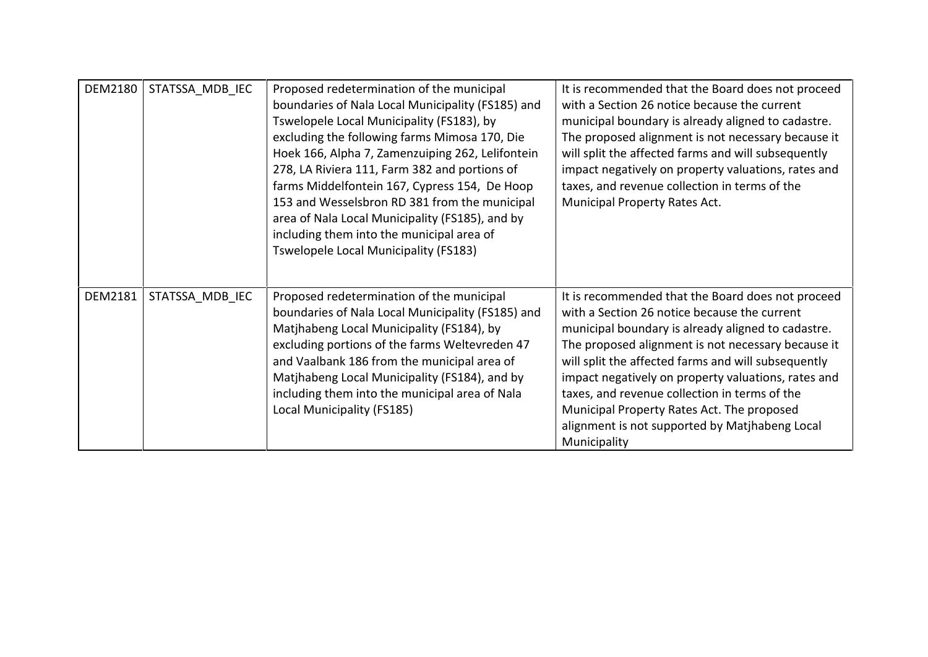| <b>DEM2180</b> | STATSSA MDB IEC | Proposed redetermination of the municipal<br>boundaries of Nala Local Municipality (FS185) and<br>Tswelopele Local Municipality (FS183), by<br>excluding the following farms Mimosa 170, Die<br>Hoek 166, Alpha 7, Zamenzuiping 262, Lelifontein<br>278, LA Riviera 111, Farm 382 and portions of<br>farms Middelfontein 167, Cypress 154, De Hoop<br>153 and Wesselsbron RD 381 from the municipal<br>area of Nala Local Municipality (FS185), and by<br>including them into the municipal area of<br>Tswelopele Local Municipality (FS183) | It is recommended that the Board does not proceed<br>with a Section 26 notice because the current<br>municipal boundary is already aligned to cadastre.<br>The proposed alignment is not necessary because it<br>will split the affected farms and will subsequently<br>impact negatively on property valuations, rates and<br>taxes, and revenue collection in terms of the<br>Municipal Property Rates Act.                                                                                |
|----------------|-----------------|----------------------------------------------------------------------------------------------------------------------------------------------------------------------------------------------------------------------------------------------------------------------------------------------------------------------------------------------------------------------------------------------------------------------------------------------------------------------------------------------------------------------------------------------|----------------------------------------------------------------------------------------------------------------------------------------------------------------------------------------------------------------------------------------------------------------------------------------------------------------------------------------------------------------------------------------------------------------------------------------------------------------------------------------------|
| <b>DEM2181</b> | STATSSA MDB IEC | Proposed redetermination of the municipal<br>boundaries of Nala Local Municipality (FS185) and<br>Matjhabeng Local Municipality (FS184), by<br>excluding portions of the farms Weltevreden 47<br>and Vaalbank 186 from the municipal area of<br>Matjhabeng Local Municipality (FS184), and by<br>including them into the municipal area of Nala<br>Local Municipality (FS185)                                                                                                                                                                | It is recommended that the Board does not proceed<br>with a Section 26 notice because the current<br>municipal boundary is already aligned to cadastre.<br>The proposed alignment is not necessary because it<br>will split the affected farms and will subsequently<br>impact negatively on property valuations, rates and<br>taxes, and revenue collection in terms of the<br>Municipal Property Rates Act. The proposed<br>alignment is not supported by Matjhabeng Local<br>Municipality |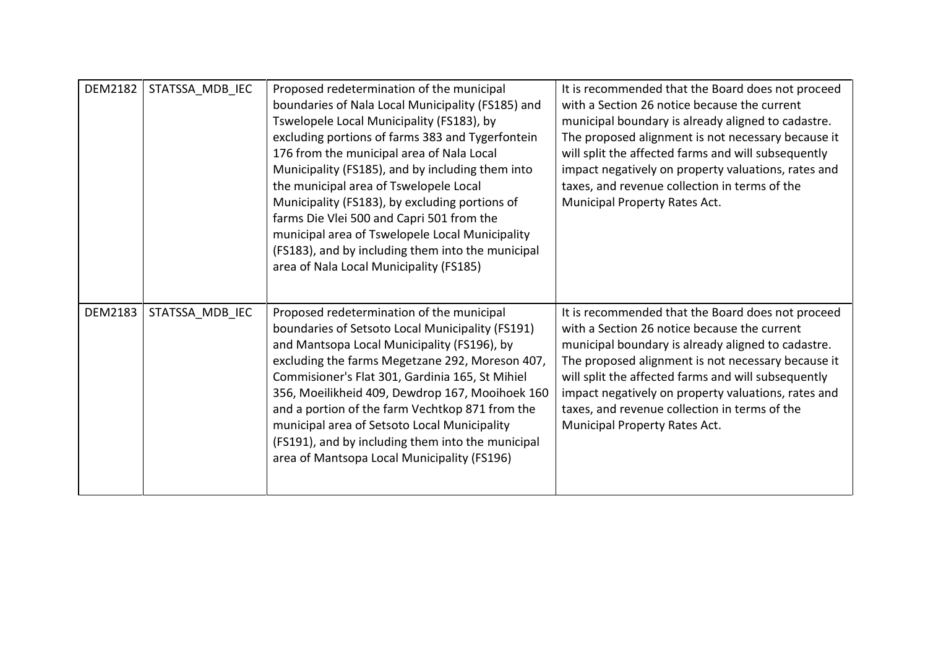| DEM2182        | STATSSA MDB IEC | Proposed redetermination of the municipal<br>boundaries of Nala Local Municipality (FS185) and<br>Tswelopele Local Municipality (FS183), by<br>excluding portions of farms 383 and Tygerfontein<br>176 from the municipal area of Nala Local<br>Municipality (FS185), and by including them into<br>the municipal area of Tswelopele Local<br>Municipality (FS183), by excluding portions of<br>farms Die Vlei 500 and Capri 501 from the<br>municipal area of Tswelopele Local Municipality<br>(FS183), and by including them into the municipal<br>area of Nala Local Municipality (FS185) | It is recommended that the Board does not proceed<br>with a Section 26 notice because the current<br>municipal boundary is already aligned to cadastre.<br>The proposed alignment is not necessary because it<br>will split the affected farms and will subsequently<br>impact negatively on property valuations, rates and<br>taxes, and revenue collection in terms of the<br>Municipal Property Rates Act. |
|----------------|-----------------|----------------------------------------------------------------------------------------------------------------------------------------------------------------------------------------------------------------------------------------------------------------------------------------------------------------------------------------------------------------------------------------------------------------------------------------------------------------------------------------------------------------------------------------------------------------------------------------------|---------------------------------------------------------------------------------------------------------------------------------------------------------------------------------------------------------------------------------------------------------------------------------------------------------------------------------------------------------------------------------------------------------------|
| <b>DEM2183</b> | STATSSA MDB IEC | Proposed redetermination of the municipal<br>boundaries of Setsoto Local Municipality (FS191)<br>and Mantsopa Local Municipality (FS196), by<br>excluding the farms Megetzane 292, Moreson 407,<br>Commisioner's Flat 301, Gardinia 165, St Mihiel<br>356, Moeilikheid 409, Dewdrop 167, Mooihoek 160<br>and a portion of the farm Vechtkop 871 from the<br>municipal area of Setsoto Local Municipality<br>(FS191), and by including them into the municipal<br>area of Mantsopa Local Municipality (FS196)                                                                                 | It is recommended that the Board does not proceed<br>with a Section 26 notice because the current<br>municipal boundary is already aligned to cadastre.<br>The proposed alignment is not necessary because it<br>will split the affected farms and will subsequently<br>impact negatively on property valuations, rates and<br>taxes, and revenue collection in terms of the<br>Municipal Property Rates Act. |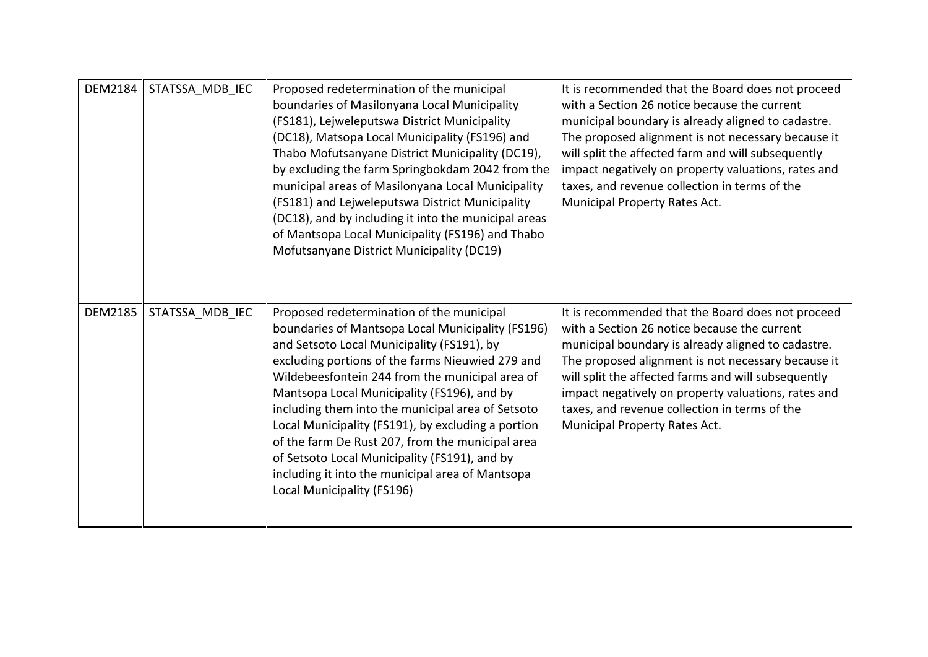| <b>DEM2184</b> | STATSSA MDB IEC | Proposed redetermination of the municipal<br>boundaries of Masilonyana Local Municipality<br>(FS181), Lejweleputswa District Municipality<br>(DC18), Matsopa Local Municipality (FS196) and<br>Thabo Mofutsanyane District Municipality (DC19),<br>by excluding the farm Springbokdam 2042 from the<br>municipal areas of Masilonyana Local Municipality<br>(FS181) and Lejweleputswa District Municipality<br>(DC18), and by including it into the municipal areas<br>of Mantsopa Local Municipality (FS196) and Thabo<br>Mofutsanyane District Municipality (DC19)                                 | It is recommended that the Board does not proceed<br>with a Section 26 notice because the current<br>municipal boundary is already aligned to cadastre.<br>The proposed alignment is not necessary because it<br>will split the affected farm and will subsequently<br>impact negatively on property valuations, rates and<br>taxes, and revenue collection in terms of the<br>Municipal Property Rates Act.  |
|----------------|-----------------|------------------------------------------------------------------------------------------------------------------------------------------------------------------------------------------------------------------------------------------------------------------------------------------------------------------------------------------------------------------------------------------------------------------------------------------------------------------------------------------------------------------------------------------------------------------------------------------------------|---------------------------------------------------------------------------------------------------------------------------------------------------------------------------------------------------------------------------------------------------------------------------------------------------------------------------------------------------------------------------------------------------------------|
| <b>DEM2185</b> | STATSSA MDB IEC | Proposed redetermination of the municipal<br>boundaries of Mantsopa Local Municipality (FS196)<br>and Setsoto Local Municipality (FS191), by<br>excluding portions of the farms Nieuwied 279 and<br>Wildebeesfontein 244 from the municipal area of<br>Mantsopa Local Municipality (FS196), and by<br>including them into the municipal area of Setsoto<br>Local Municipality (FS191), by excluding a portion<br>of the farm De Rust 207, from the municipal area<br>of Setsoto Local Municipality (FS191), and by<br>including it into the municipal area of Mantsopa<br>Local Municipality (FS196) | It is recommended that the Board does not proceed<br>with a Section 26 notice because the current<br>municipal boundary is already aligned to cadastre.<br>The proposed alignment is not necessary because it<br>will split the affected farms and will subsequently<br>impact negatively on property valuations, rates and<br>taxes, and revenue collection in terms of the<br>Municipal Property Rates Act. |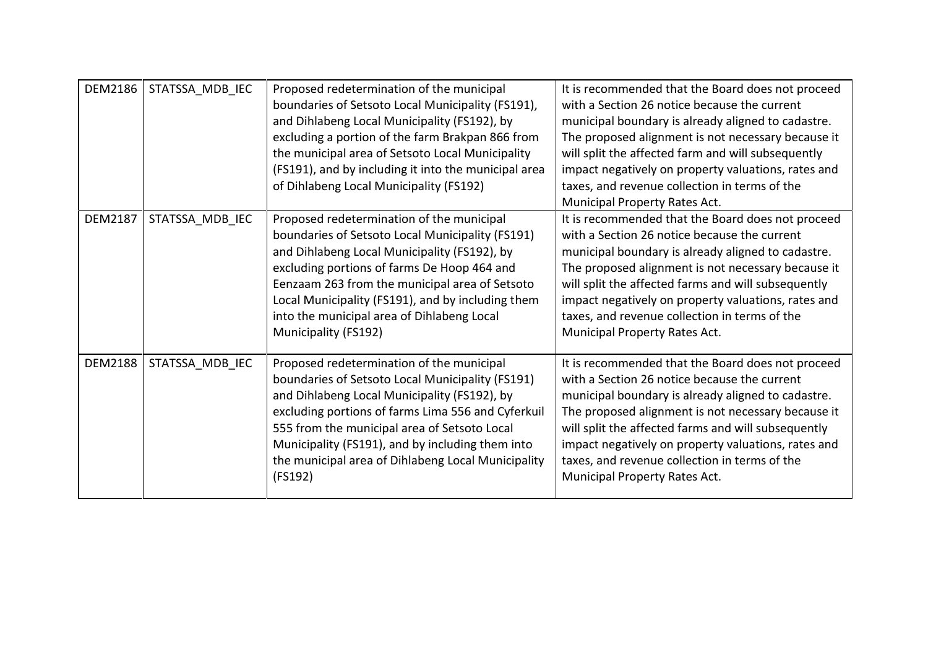| <b>DEM2186</b> | STATSSA MDB IEC | Proposed redetermination of the municipal<br>boundaries of Setsoto Local Municipality (FS191),<br>and Dihlabeng Local Municipality (FS192), by<br>excluding a portion of the farm Brakpan 866 from<br>the municipal area of Setsoto Local Municipality<br>(FS191), and by including it into the municipal area<br>of Dihlabeng Local Municipality (FS192)                 | It is recommended that the Board does not proceed<br>with a Section 26 notice because the current<br>municipal boundary is already aligned to cadastre.<br>The proposed alignment is not necessary because it<br>will split the affected farm and will subsequently<br>impact negatively on property valuations, rates and<br>taxes, and revenue collection in terms of the<br>Municipal Property Rates Act.  |
|----------------|-----------------|---------------------------------------------------------------------------------------------------------------------------------------------------------------------------------------------------------------------------------------------------------------------------------------------------------------------------------------------------------------------------|---------------------------------------------------------------------------------------------------------------------------------------------------------------------------------------------------------------------------------------------------------------------------------------------------------------------------------------------------------------------------------------------------------------|
| <b>DEM2187</b> | STATSSA_MDB_IEC | Proposed redetermination of the municipal<br>boundaries of Setsoto Local Municipality (FS191)<br>and Dihlabeng Local Municipality (FS192), by<br>excluding portions of farms De Hoop 464 and<br>Eenzaam 263 from the municipal area of Setsoto<br>Local Municipality (FS191), and by including them<br>into the municipal area of Dihlabeng Local<br>Municipality (FS192) | It is recommended that the Board does not proceed<br>with a Section 26 notice because the current<br>municipal boundary is already aligned to cadastre.<br>The proposed alignment is not necessary because it<br>will split the affected farms and will subsequently<br>impact negatively on property valuations, rates and<br>taxes, and revenue collection in terms of the<br>Municipal Property Rates Act. |
| <b>DEM2188</b> | STATSSA_MDB_IEC | Proposed redetermination of the municipal<br>boundaries of Setsoto Local Municipality (FS191)<br>and Dihlabeng Local Municipality (FS192), by<br>excluding portions of farms Lima 556 and Cyferkuil<br>555 from the municipal area of Setsoto Local<br>Municipality (FS191), and by including them into<br>the municipal area of Dihlabeng Local Municipality<br>(FS192)  | It is recommended that the Board does not proceed<br>with a Section 26 notice because the current<br>municipal boundary is already aligned to cadastre.<br>The proposed alignment is not necessary because it<br>will split the affected farms and will subsequently<br>impact negatively on property valuations, rates and<br>taxes, and revenue collection in terms of the<br>Municipal Property Rates Act. |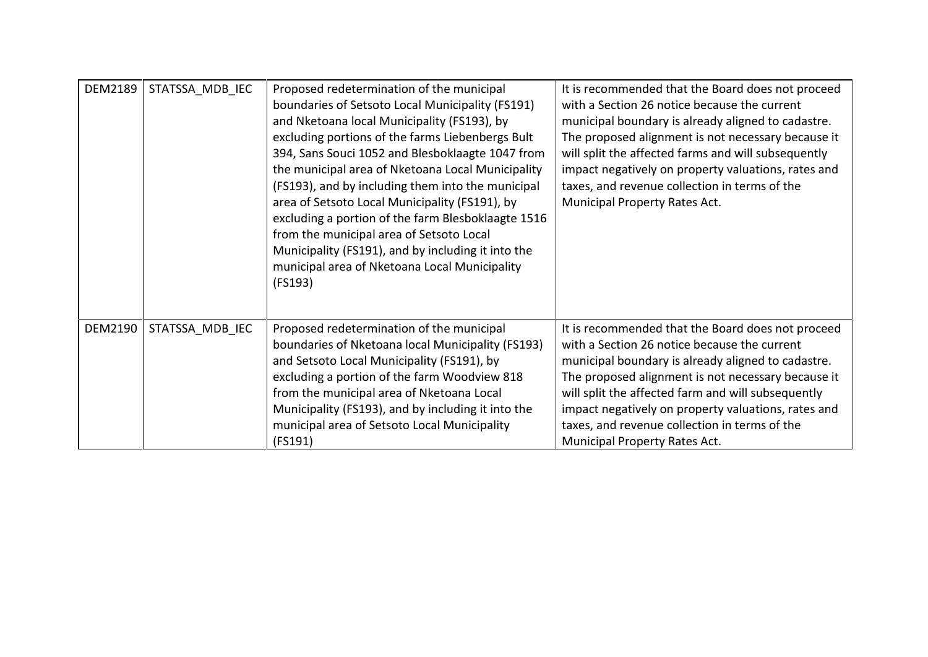| <b>DEM2189</b> | STATSSA MDB IEC | Proposed redetermination of the municipal<br>boundaries of Setsoto Local Municipality (FS191)<br>and Nketoana local Municipality (FS193), by<br>excluding portions of the farms Liebenbergs Bult<br>394, Sans Souci 1052 and Blesboklaagte 1047 from<br>the municipal area of Nketoana Local Municipality<br>(FS193), and by including them into the municipal<br>area of Setsoto Local Municipality (FS191), by<br>excluding a portion of the farm Blesboklaagte 1516<br>from the municipal area of Setsoto Local<br>Municipality (FS191), and by including it into the<br>municipal area of Nketoana Local Municipality<br>(FS193) | It is recommended that the Board does not proceed<br>with a Section 26 notice because the current<br>municipal boundary is already aligned to cadastre.<br>The proposed alignment is not necessary because it<br>will split the affected farms and will subsequently<br>impact negatively on property valuations, rates and<br>taxes, and revenue collection in terms of the<br>Municipal Property Rates Act. |
|----------------|-----------------|--------------------------------------------------------------------------------------------------------------------------------------------------------------------------------------------------------------------------------------------------------------------------------------------------------------------------------------------------------------------------------------------------------------------------------------------------------------------------------------------------------------------------------------------------------------------------------------------------------------------------------------|---------------------------------------------------------------------------------------------------------------------------------------------------------------------------------------------------------------------------------------------------------------------------------------------------------------------------------------------------------------------------------------------------------------|
| DEM2190        | STATSSA MDB IEC | Proposed redetermination of the municipal<br>boundaries of Nketoana local Municipality (FS193)<br>and Setsoto Local Municipality (FS191), by<br>excluding a portion of the farm Woodview 818<br>from the municipal area of Nketoana Local<br>Municipality (FS193), and by including it into the<br>municipal area of Setsoto Local Municipality<br>(FS191)                                                                                                                                                                                                                                                                           | It is recommended that the Board does not proceed<br>with a Section 26 notice because the current<br>municipal boundary is already aligned to cadastre.<br>The proposed alignment is not necessary because it<br>will split the affected farm and will subsequently<br>impact negatively on property valuations, rates and<br>taxes, and revenue collection in terms of the<br>Municipal Property Rates Act.  |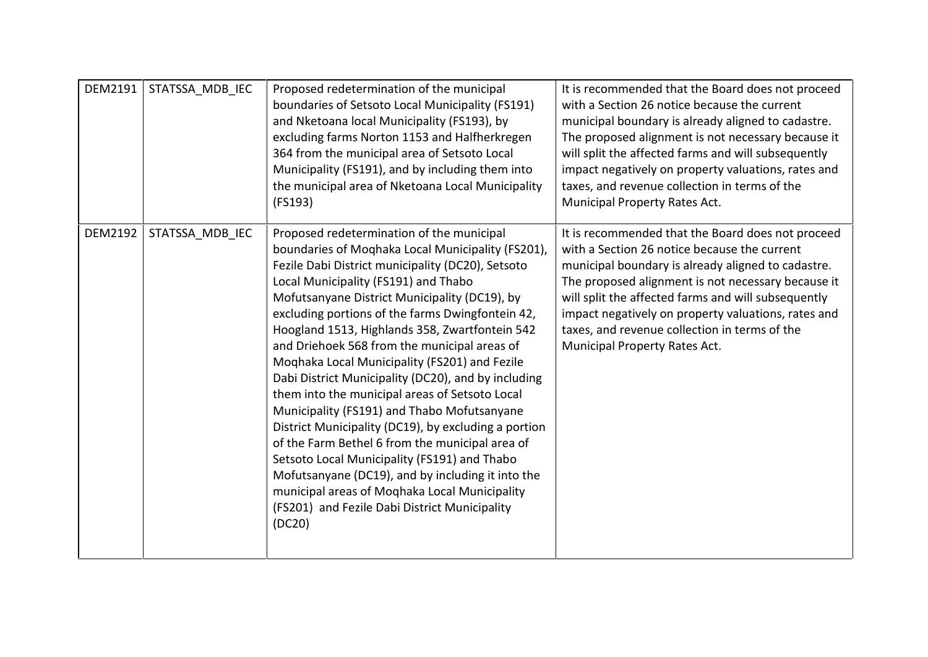| DEM2191        | STATSSA MDB IEC | Proposed redetermination of the municipal<br>boundaries of Setsoto Local Municipality (FS191)<br>and Nketoana local Municipality (FS193), by<br>excluding farms Norton 1153 and Halfherkregen<br>364 from the municipal area of Setsoto Local<br>Municipality (FS191), and by including them into<br>the municipal area of Nketoana Local Municipality<br>(FS193)                                                                                                                                                                                                                                                                                                                                                                                                                                                                                                                                                                       | It is recommended that the Board does not proceed<br>with a Section 26 notice because the current<br>municipal boundary is already aligned to cadastre.<br>The proposed alignment is not necessary because it<br>will split the affected farms and will subsequently<br>impact negatively on property valuations, rates and<br>taxes, and revenue collection in terms of the<br>Municipal Property Rates Act. |
|----------------|-----------------|-----------------------------------------------------------------------------------------------------------------------------------------------------------------------------------------------------------------------------------------------------------------------------------------------------------------------------------------------------------------------------------------------------------------------------------------------------------------------------------------------------------------------------------------------------------------------------------------------------------------------------------------------------------------------------------------------------------------------------------------------------------------------------------------------------------------------------------------------------------------------------------------------------------------------------------------|---------------------------------------------------------------------------------------------------------------------------------------------------------------------------------------------------------------------------------------------------------------------------------------------------------------------------------------------------------------------------------------------------------------|
| <b>DEM2192</b> | STATSSA MDB IEC | Proposed redetermination of the municipal<br>boundaries of Moghaka Local Municipality (FS201),<br>Fezile Dabi District municipality (DC20), Setsoto<br>Local Municipality (FS191) and Thabo<br>Mofutsanyane District Municipality (DC19), by<br>excluding portions of the farms Dwingfontein 42,<br>Hoogland 1513, Highlands 358, Zwartfontein 542<br>and Driehoek 568 from the municipal areas of<br>Moghaka Local Municipality (FS201) and Fezile<br>Dabi District Municipality (DC20), and by including<br>them into the municipal areas of Setsoto Local<br>Municipality (FS191) and Thabo Mofutsanyane<br>District Municipality (DC19), by excluding a portion<br>of the Farm Bethel 6 from the municipal area of<br>Setsoto Local Municipality (FS191) and Thabo<br>Mofutsanyane (DC19), and by including it into the<br>municipal areas of Moghaka Local Municipality<br>(FS201) and Fezile Dabi District Municipality<br>(DC20) | It is recommended that the Board does not proceed<br>with a Section 26 notice because the current<br>municipal boundary is already aligned to cadastre.<br>The proposed alignment is not necessary because it<br>will split the affected farms and will subsequently<br>impact negatively on property valuations, rates and<br>taxes, and revenue collection in terms of the<br>Municipal Property Rates Act. |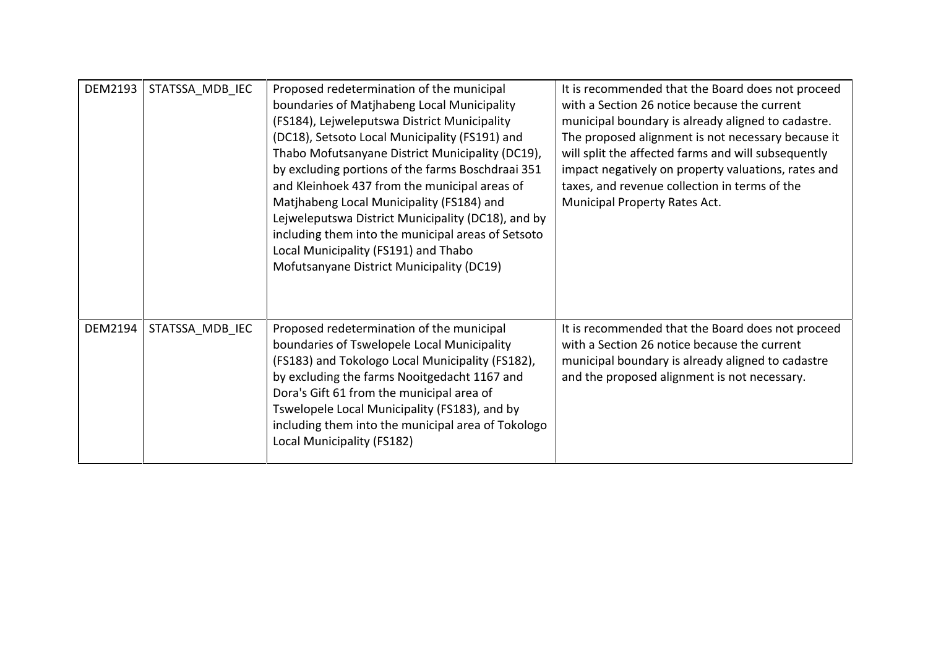| DEM2193        | STATSSA MDB IEC | Proposed redetermination of the municipal<br>boundaries of Matjhabeng Local Municipality<br>(FS184), Lejweleputswa District Municipality<br>(DC18), Setsoto Local Municipality (FS191) and<br>Thabo Mofutsanyane District Municipality (DC19),<br>by excluding portions of the farms Boschdraai 351<br>and Kleinhoek 437 from the municipal areas of<br>Matjhabeng Local Municipality (FS184) and<br>Lejweleputswa District Municipality (DC18), and by<br>including them into the municipal areas of Setsoto<br>Local Municipality (FS191) and Thabo<br>Mofutsanyane District Municipality (DC19) | It is recommended that the Board does not proceed<br>with a Section 26 notice because the current<br>municipal boundary is already aligned to cadastre.<br>The proposed alignment is not necessary because it<br>will split the affected farms and will subsequently<br>impact negatively on property valuations, rates and<br>taxes, and revenue collection in terms of the<br>Municipal Property Rates Act. |
|----------------|-----------------|----------------------------------------------------------------------------------------------------------------------------------------------------------------------------------------------------------------------------------------------------------------------------------------------------------------------------------------------------------------------------------------------------------------------------------------------------------------------------------------------------------------------------------------------------------------------------------------------------|---------------------------------------------------------------------------------------------------------------------------------------------------------------------------------------------------------------------------------------------------------------------------------------------------------------------------------------------------------------------------------------------------------------|
| <b>DEM2194</b> | STATSSA MDB IEC | Proposed redetermination of the municipal<br>boundaries of Tswelopele Local Municipality<br>(FS183) and Tokologo Local Municipality (FS182),<br>by excluding the farms Nooitgedacht 1167 and<br>Dora's Gift 61 from the municipal area of<br>Tswelopele Local Municipality (FS183), and by<br>including them into the municipal area of Tokologo<br>Local Municipality (FS182)                                                                                                                                                                                                                     | It is recommended that the Board does not proceed<br>with a Section 26 notice because the current<br>municipal boundary is already aligned to cadastre<br>and the proposed alignment is not necessary.                                                                                                                                                                                                        |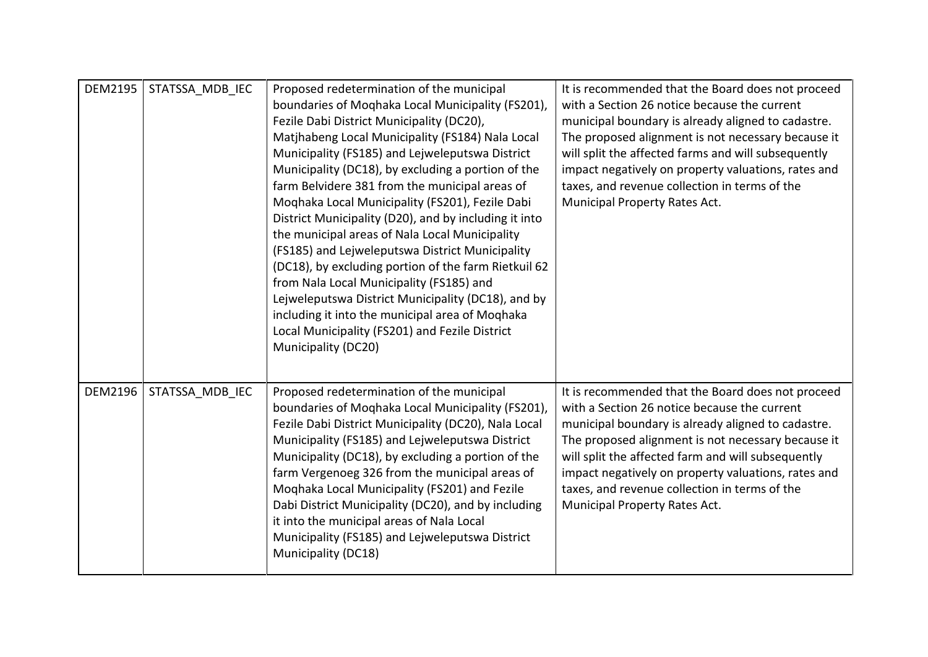| <b>DEM2195</b> | STATSSA MDB IEC | Proposed redetermination of the municipal<br>boundaries of Moqhaka Local Municipality (FS201),<br>Fezile Dabi District Municipality (DC20),<br>Matjhabeng Local Municipality (FS184) Nala Local<br>Municipality (FS185) and Lejweleputswa District<br>Municipality (DC18), by excluding a portion of the<br>farm Belvidere 381 from the municipal areas of<br>Moqhaka Local Municipality (FS201), Fezile Dabi<br>District Municipality (D20), and by including it into<br>the municipal areas of Nala Local Municipality<br>(FS185) and Lejweleputswa District Municipality<br>(DC18), by excluding portion of the farm Rietkuil 62<br>from Nala Local Municipality (FS185) and<br>Lejweleputswa District Municipality (DC18), and by<br>including it into the municipal area of Moqhaka<br>Local Municipality (FS201) and Fezile District<br>Municipality (DC20) | It is recommended that the Board does not proceed<br>with a Section 26 notice because the current<br>municipal boundary is already aligned to cadastre.<br>The proposed alignment is not necessary because it<br>will split the affected farms and will subsequently<br>impact negatively on property valuations, rates and<br>taxes, and revenue collection in terms of the<br>Municipal Property Rates Act. |
|----------------|-----------------|-------------------------------------------------------------------------------------------------------------------------------------------------------------------------------------------------------------------------------------------------------------------------------------------------------------------------------------------------------------------------------------------------------------------------------------------------------------------------------------------------------------------------------------------------------------------------------------------------------------------------------------------------------------------------------------------------------------------------------------------------------------------------------------------------------------------------------------------------------------------|---------------------------------------------------------------------------------------------------------------------------------------------------------------------------------------------------------------------------------------------------------------------------------------------------------------------------------------------------------------------------------------------------------------|
| <b>DEM2196</b> | STATSSA MDB IEC | Proposed redetermination of the municipal<br>boundaries of Moqhaka Local Municipality (FS201),<br>Fezile Dabi District Municipality (DC20), Nala Local<br>Municipality (FS185) and Lejweleputswa District<br>Municipality (DC18), by excluding a portion of the<br>farm Vergenoeg 326 from the municipal areas of<br>Moqhaka Local Municipality (FS201) and Fezile<br>Dabi District Municipality (DC20), and by including<br>it into the municipal areas of Nala Local<br>Municipality (FS185) and Lejweleputswa District<br>Municipality (DC18)                                                                                                                                                                                                                                                                                                                  | It is recommended that the Board does not proceed<br>with a Section 26 notice because the current<br>municipal boundary is already aligned to cadastre.<br>The proposed alignment is not necessary because it<br>will split the affected farm and will subsequently<br>impact negatively on property valuations, rates and<br>taxes, and revenue collection in terms of the<br>Municipal Property Rates Act.  |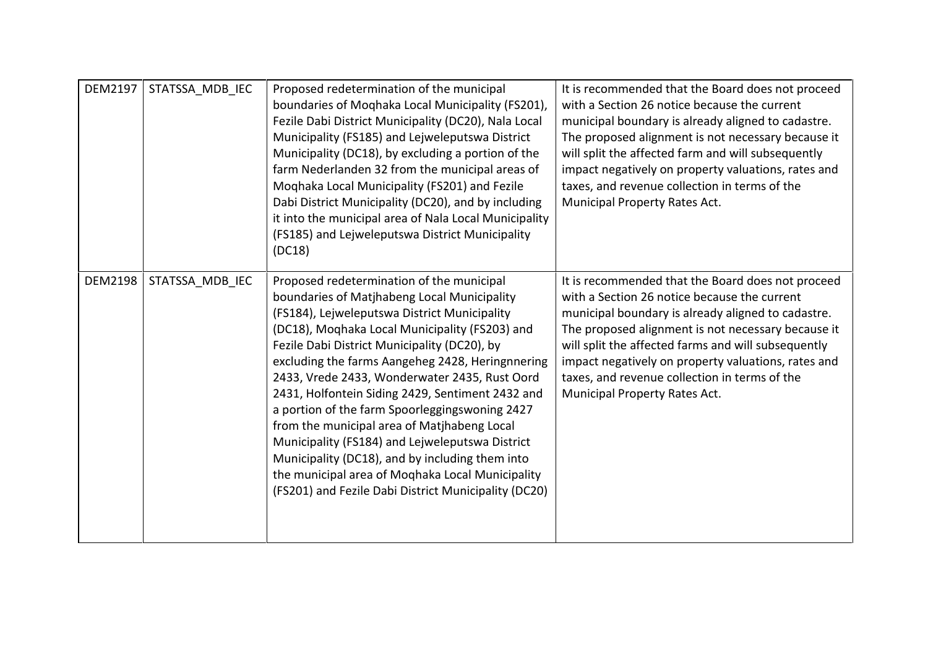| <b>DEM2197</b> | STATSSA MDB IEC | Proposed redetermination of the municipal<br>boundaries of Moghaka Local Municipality (FS201),<br>Fezile Dabi District Municipality (DC20), Nala Local<br>Municipality (FS185) and Lejweleputswa District<br>Municipality (DC18), by excluding a portion of the<br>farm Nederlanden 32 from the municipal areas of<br>Moqhaka Local Municipality (FS201) and Fezile<br>Dabi District Municipality (DC20), and by including<br>it into the municipal area of Nala Local Municipality<br>(FS185) and Lejweleputswa District Municipality<br>(DC18)                                                                                                                                                                        | It is recommended that the Board does not proceed<br>with a Section 26 notice because the current<br>municipal boundary is already aligned to cadastre.<br>The proposed alignment is not necessary because it<br>will split the affected farm and will subsequently<br>impact negatively on property valuations, rates and<br>taxes, and revenue collection in terms of the<br>Municipal Property Rates Act.  |
|----------------|-----------------|-------------------------------------------------------------------------------------------------------------------------------------------------------------------------------------------------------------------------------------------------------------------------------------------------------------------------------------------------------------------------------------------------------------------------------------------------------------------------------------------------------------------------------------------------------------------------------------------------------------------------------------------------------------------------------------------------------------------------|---------------------------------------------------------------------------------------------------------------------------------------------------------------------------------------------------------------------------------------------------------------------------------------------------------------------------------------------------------------------------------------------------------------|
| <b>DEM2198</b> | STATSSA MDB IEC | Proposed redetermination of the municipal<br>boundaries of Matjhabeng Local Municipality<br>(FS184), Lejweleputswa District Municipality<br>(DC18), Moqhaka Local Municipality (FS203) and<br>Fezile Dabi District Municipality (DC20), by<br>excluding the farms Aangeheg 2428, Heringnnering<br>2433, Vrede 2433, Wonderwater 2435, Rust Oord<br>2431, Holfontein Siding 2429, Sentiment 2432 and<br>a portion of the farm Spoorleggings woning 2427<br>from the municipal area of Matjhabeng Local<br>Municipality (FS184) and Lejweleputswa District<br>Municipality (DC18), and by including them into<br>the municipal area of Moqhaka Local Municipality<br>(FS201) and Fezile Dabi District Municipality (DC20) | It is recommended that the Board does not proceed<br>with a Section 26 notice because the current<br>municipal boundary is already aligned to cadastre.<br>The proposed alignment is not necessary because it<br>will split the affected farms and will subsequently<br>impact negatively on property valuations, rates and<br>taxes, and revenue collection in terms of the<br>Municipal Property Rates Act. |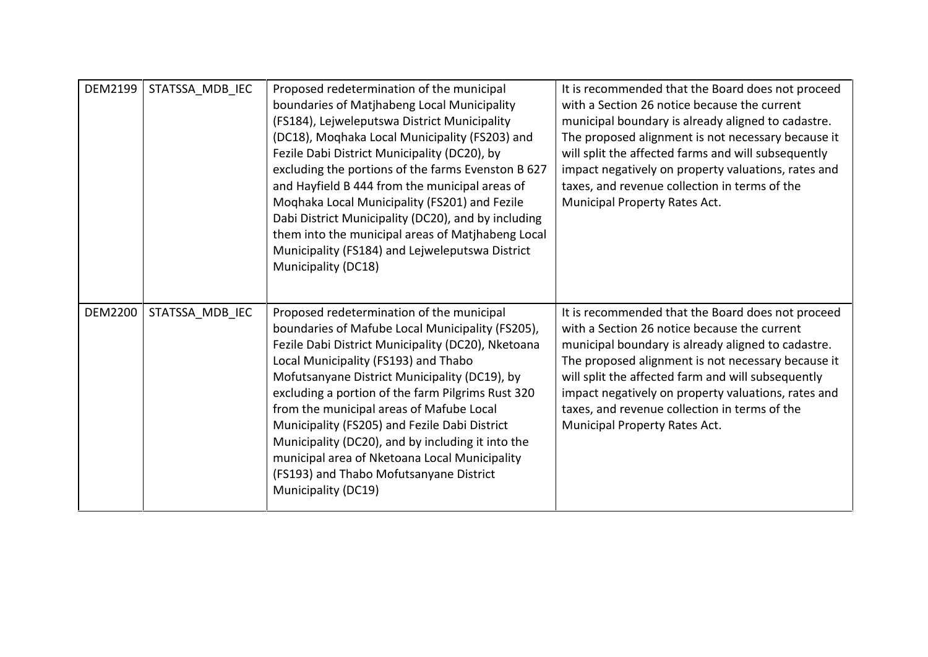| DEM2199        | STATSSA MDB IEC | Proposed redetermination of the municipal<br>boundaries of Matjhabeng Local Municipality<br>(FS184), Lejweleputswa District Municipality<br>(DC18), Moqhaka Local Municipality (FS203) and<br>Fezile Dabi District Municipality (DC20), by<br>excluding the portions of the farms Evenston B 627<br>and Hayfield B 444 from the municipal areas of<br>Moqhaka Local Municipality (FS201) and Fezile<br>Dabi District Municipality (DC20), and by including<br>them into the municipal areas of Matjhabeng Local<br>Municipality (FS184) and Lejweleputswa District<br>Municipality (DC18) | It is recommended that the Board does not proceed<br>with a Section 26 notice because the current<br>municipal boundary is already aligned to cadastre.<br>The proposed alignment is not necessary because it<br>will split the affected farms and will subsequently<br>impact negatively on property valuations, rates and<br>taxes, and revenue collection in terms of the<br>Municipal Property Rates Act. |
|----------------|-----------------|-------------------------------------------------------------------------------------------------------------------------------------------------------------------------------------------------------------------------------------------------------------------------------------------------------------------------------------------------------------------------------------------------------------------------------------------------------------------------------------------------------------------------------------------------------------------------------------------|---------------------------------------------------------------------------------------------------------------------------------------------------------------------------------------------------------------------------------------------------------------------------------------------------------------------------------------------------------------------------------------------------------------|
| <b>DEM2200</b> | STATSSA MDB IEC | Proposed redetermination of the municipal<br>boundaries of Mafube Local Municipality (FS205),<br>Fezile Dabi District Municipality (DC20), Nketoana<br>Local Municipality (FS193) and Thabo<br>Mofutsanyane District Municipality (DC19), by<br>excluding a portion of the farm Pilgrims Rust 320<br>from the municipal areas of Mafube Local<br>Municipality (FS205) and Fezile Dabi District<br>Municipality (DC20), and by including it into the<br>municipal area of Nketoana Local Municipality<br>(FS193) and Thabo Mofutsanyane District<br>Municipality (DC19)                    | It is recommended that the Board does not proceed<br>with a Section 26 notice because the current<br>municipal boundary is already aligned to cadastre.<br>The proposed alignment is not necessary because it<br>will split the affected farm and will subsequently<br>impact negatively on property valuations, rates and<br>taxes, and revenue collection in terms of the<br>Municipal Property Rates Act.  |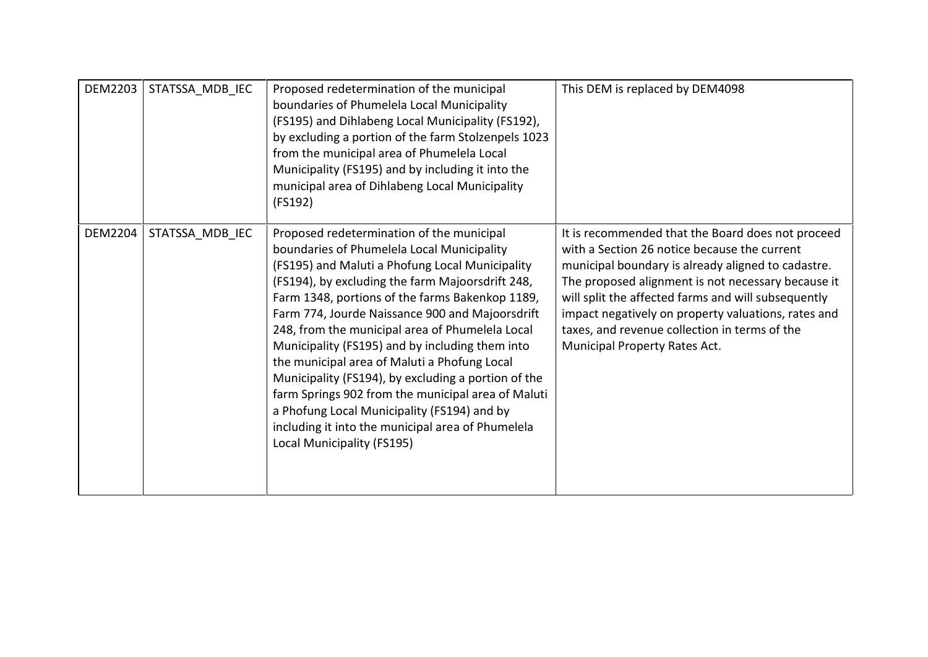| <b>DEM2203</b> | STATSSA MDB IEC | Proposed redetermination of the municipal<br>boundaries of Phumelela Local Municipality<br>(FS195) and Dihlabeng Local Municipality (FS192),<br>by excluding a portion of the farm Stolzenpels 1023<br>from the municipal area of Phumelela Local<br>Municipality (FS195) and by including it into the<br>municipal area of Dihlabeng Local Municipality<br>(FS192)                                                                                                                                                                                                                                                                                                                                       | This DEM is replaced by DEM4098                                                                                                                                                                                                                                                                                                                                                                               |
|----------------|-----------------|-----------------------------------------------------------------------------------------------------------------------------------------------------------------------------------------------------------------------------------------------------------------------------------------------------------------------------------------------------------------------------------------------------------------------------------------------------------------------------------------------------------------------------------------------------------------------------------------------------------------------------------------------------------------------------------------------------------|---------------------------------------------------------------------------------------------------------------------------------------------------------------------------------------------------------------------------------------------------------------------------------------------------------------------------------------------------------------------------------------------------------------|
| <b>DEM2204</b> | STATSSA_MDB_IEC | Proposed redetermination of the municipal<br>boundaries of Phumelela Local Municipality<br>(FS195) and Maluti a Phofung Local Municipality<br>(FS194), by excluding the farm Majoorsdrift 248,<br>Farm 1348, portions of the farms Bakenkop 1189,<br>Farm 774, Jourde Naissance 900 and Majoorsdrift<br>248, from the municipal area of Phumelela Local<br>Municipality (FS195) and by including them into<br>the municipal area of Maluti a Phofung Local<br>Municipality (FS194), by excluding a portion of the<br>farm Springs 902 from the municipal area of Maluti<br>a Phofung Local Municipality (FS194) and by<br>including it into the municipal area of Phumelela<br>Local Municipality (FS195) | It is recommended that the Board does not proceed<br>with a Section 26 notice because the current<br>municipal boundary is already aligned to cadastre.<br>The proposed alignment is not necessary because it<br>will split the affected farms and will subsequently<br>impact negatively on property valuations, rates and<br>taxes, and revenue collection in terms of the<br>Municipal Property Rates Act. |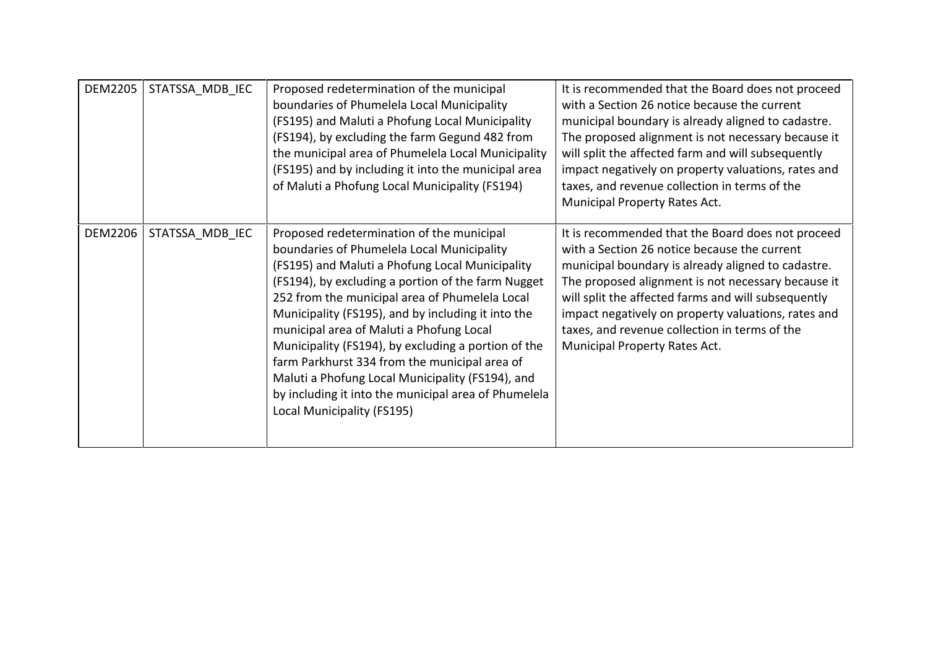| <b>DEM2205</b> | STATSSA MDB IEC | Proposed redetermination of the municipal<br>boundaries of Phumelela Local Municipality<br>(FS195) and Maluti a Phofung Local Municipality<br>(FS194), by excluding the farm Gegund 482 from<br>the municipal area of Phumelela Local Municipality<br>(FS195) and by including it into the municipal area<br>of Maluti a Phofung Local Municipality (FS194)                                                                                                                                                                                                                                            | It is recommended that the Board does not proceed<br>with a Section 26 notice because the current<br>municipal boundary is already aligned to cadastre.<br>The proposed alignment is not necessary because it<br>will split the affected farm and will subsequently<br>impact negatively on property valuations, rates and<br>taxes, and revenue collection in terms of the<br>Municipal Property Rates Act.  |
|----------------|-----------------|--------------------------------------------------------------------------------------------------------------------------------------------------------------------------------------------------------------------------------------------------------------------------------------------------------------------------------------------------------------------------------------------------------------------------------------------------------------------------------------------------------------------------------------------------------------------------------------------------------|---------------------------------------------------------------------------------------------------------------------------------------------------------------------------------------------------------------------------------------------------------------------------------------------------------------------------------------------------------------------------------------------------------------|
| <b>DEM2206</b> | STATSSA MDB IEC | Proposed redetermination of the municipal<br>boundaries of Phumelela Local Municipality<br>(FS195) and Maluti a Phofung Local Municipality<br>(FS194), by excluding a portion of the farm Nugget<br>252 from the municipal area of Phumelela Local<br>Municipality (FS195), and by including it into the<br>municipal area of Maluti a Phofung Local<br>Municipality (FS194), by excluding a portion of the<br>farm Parkhurst 334 from the municipal area of<br>Maluti a Phofung Local Municipality (FS194), and<br>by including it into the municipal area of Phumelela<br>Local Municipality (FS195) | It is recommended that the Board does not proceed<br>with a Section 26 notice because the current<br>municipal boundary is already aligned to cadastre.<br>The proposed alignment is not necessary because it<br>will split the affected farms and will subsequently<br>impact negatively on property valuations, rates and<br>taxes, and revenue collection in terms of the<br>Municipal Property Rates Act. |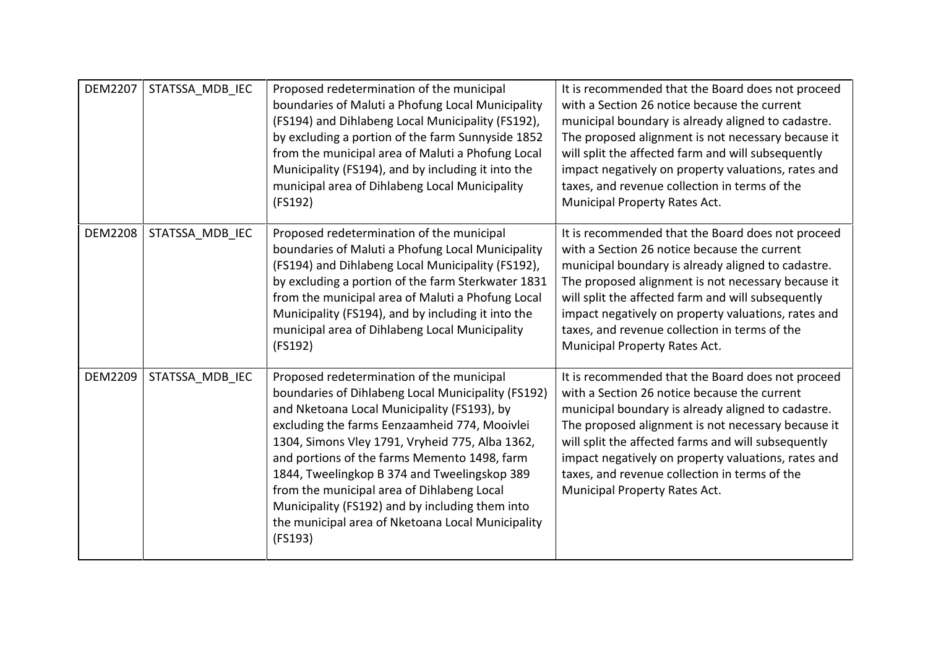| <b>DEM2207</b> | STATSSA MDB IEC | Proposed redetermination of the municipal<br>boundaries of Maluti a Phofung Local Municipality<br>(FS194) and Dihlabeng Local Municipality (FS192),<br>by excluding a portion of the farm Sunnyside 1852<br>from the municipal area of Maluti a Phofung Local<br>Municipality (FS194), and by including it into the<br>municipal area of Dihlabeng Local Municipality<br>(FS192)                                                                                                                                    | It is recommended that the Board does not proceed<br>with a Section 26 notice because the current<br>municipal boundary is already aligned to cadastre.<br>The proposed alignment is not necessary because it<br>will split the affected farm and will subsequently<br>impact negatively on property valuations, rates and<br>taxes, and revenue collection in terms of the<br>Municipal Property Rates Act.  |
|----------------|-----------------|---------------------------------------------------------------------------------------------------------------------------------------------------------------------------------------------------------------------------------------------------------------------------------------------------------------------------------------------------------------------------------------------------------------------------------------------------------------------------------------------------------------------|---------------------------------------------------------------------------------------------------------------------------------------------------------------------------------------------------------------------------------------------------------------------------------------------------------------------------------------------------------------------------------------------------------------|
| <b>DEM2208</b> | STATSSA MDB IEC | Proposed redetermination of the municipal<br>boundaries of Maluti a Phofung Local Municipality<br>(FS194) and Dihlabeng Local Municipality (FS192),<br>by excluding a portion of the farm Sterkwater 1831<br>from the municipal area of Maluti a Phofung Local<br>Municipality (FS194), and by including it into the<br>municipal area of Dihlabeng Local Municipality<br>(FS192)                                                                                                                                   | It is recommended that the Board does not proceed<br>with a Section 26 notice because the current<br>municipal boundary is already aligned to cadastre.<br>The proposed alignment is not necessary because it<br>will split the affected farm and will subsequently<br>impact negatively on property valuations, rates and<br>taxes, and revenue collection in terms of the<br>Municipal Property Rates Act.  |
| <b>DEM2209</b> | STATSSA MDB IEC | Proposed redetermination of the municipal<br>boundaries of Dihlabeng Local Municipality (FS192)<br>and Nketoana Local Municipality (FS193), by<br>excluding the farms Eenzaamheid 774, Mooivlei<br>1304, Simons Vley 1791, Vryheid 775, Alba 1362,<br>and portions of the farms Memento 1498, farm<br>1844, Tweelingkop B 374 and Tweelingskop 389<br>from the municipal area of Dihlabeng Local<br>Municipality (FS192) and by including them into<br>the municipal area of Nketoana Local Municipality<br>(FS193) | It is recommended that the Board does not proceed<br>with a Section 26 notice because the current<br>municipal boundary is already aligned to cadastre.<br>The proposed alignment is not necessary because it<br>will split the affected farms and will subsequently<br>impact negatively on property valuations, rates and<br>taxes, and revenue collection in terms of the<br>Municipal Property Rates Act. |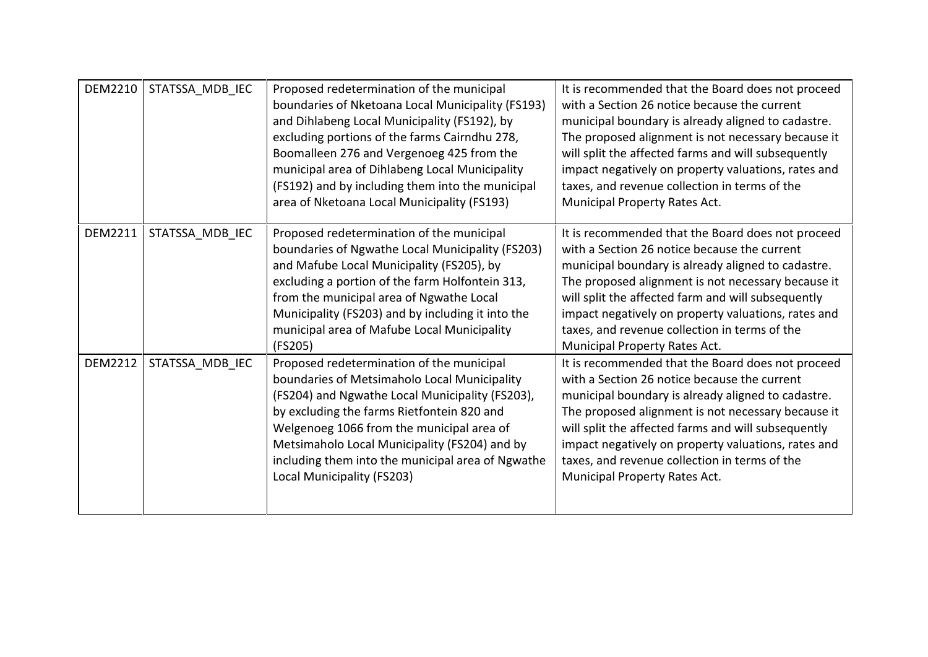| <b>DEM2210</b> | STATSSA MDB IEC | Proposed redetermination of the municipal<br>boundaries of Nketoana Local Municipality (FS193)<br>and Dihlabeng Local Municipality (FS192), by<br>excluding portions of the farms Cairndhu 278,<br>Boomalleen 276 and Vergenoeg 425 from the<br>municipal area of Dihlabeng Local Municipality<br>(FS192) and by including them into the municipal<br>area of Nketoana Local Municipality (FS193) | It is recommended that the Board does not proceed<br>with a Section 26 notice because the current<br>municipal boundary is already aligned to cadastre.<br>The proposed alignment is not necessary because it<br>will split the affected farms and will subsequently<br>impact negatively on property valuations, rates and<br>taxes, and revenue collection in terms of the<br>Municipal Property Rates Act. |
|----------------|-----------------|---------------------------------------------------------------------------------------------------------------------------------------------------------------------------------------------------------------------------------------------------------------------------------------------------------------------------------------------------------------------------------------------------|---------------------------------------------------------------------------------------------------------------------------------------------------------------------------------------------------------------------------------------------------------------------------------------------------------------------------------------------------------------------------------------------------------------|
| <b>DEM2211</b> | STATSSA_MDB_IEC | Proposed redetermination of the municipal<br>boundaries of Ngwathe Local Municipality (FS203)<br>and Mafube Local Municipality (FS205), by<br>excluding a portion of the farm Holfontein 313,<br>from the municipal area of Ngwathe Local<br>Municipality (FS203) and by including it into the<br>municipal area of Mafube Local Municipality<br>(FS205)                                          | It is recommended that the Board does not proceed<br>with a Section 26 notice because the current<br>municipal boundary is already aligned to cadastre.<br>The proposed alignment is not necessary because it<br>will split the affected farm and will subsequently<br>impact negatively on property valuations, rates and<br>taxes, and revenue collection in terms of the<br>Municipal Property Rates Act.  |
| <b>DEM2212</b> | STATSSA_MDB_IEC | Proposed redetermination of the municipal<br>boundaries of Metsimaholo Local Municipality<br>(FS204) and Ngwathe Local Municipality (FS203),<br>by excluding the farms Rietfontein 820 and<br>Welgenoeg 1066 from the municipal area of<br>Metsimaholo Local Municipality (FS204) and by<br>including them into the municipal area of Ngwathe<br>Local Municipality (FS203)                       | It is recommended that the Board does not proceed<br>with a Section 26 notice because the current<br>municipal boundary is already aligned to cadastre.<br>The proposed alignment is not necessary because it<br>will split the affected farms and will subsequently<br>impact negatively on property valuations, rates and<br>taxes, and revenue collection in terms of the<br>Municipal Property Rates Act. |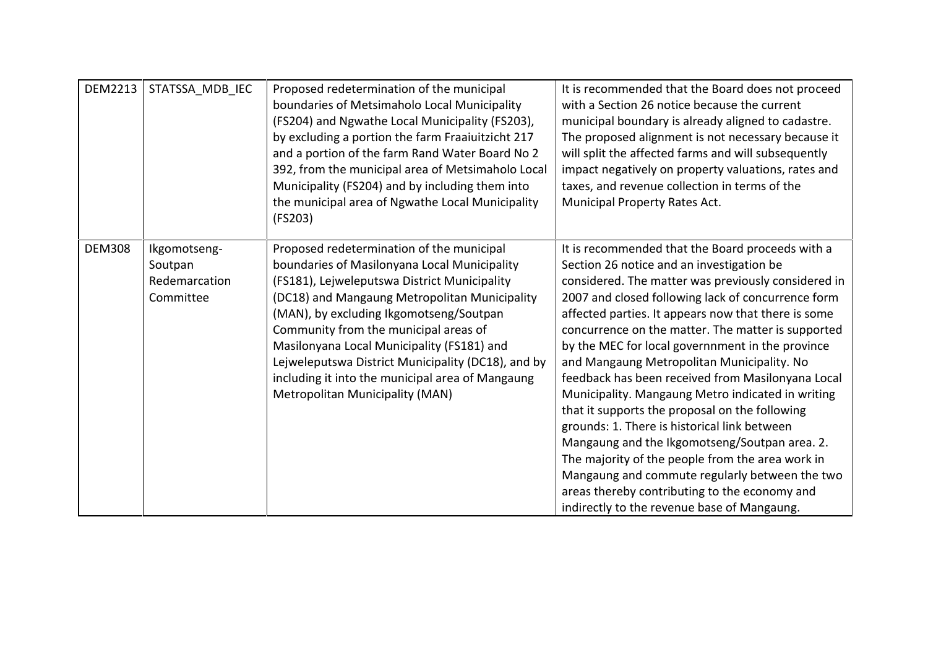| DEM2213       | STATSSA MDB IEC                                       | Proposed redetermination of the municipal<br>boundaries of Metsimaholo Local Municipality<br>(FS204) and Ngwathe Local Municipality (FS203),<br>by excluding a portion the farm Fraaiuitzicht 217<br>and a portion of the farm Rand Water Board No 2<br>392, from the municipal area of Metsimaholo Local<br>Municipality (FS204) and by including them into<br>the municipal area of Ngwathe Local Municipality<br>(FS203)                                               | It is recommended that the Board does not proceed<br>with a Section 26 notice because the current<br>municipal boundary is already aligned to cadastre.<br>The proposed alignment is not necessary because it<br>will split the affected farms and will subsequently<br>impact negatively on property valuations, rates and<br>taxes, and revenue collection in terms of the<br>Municipal Property Rates Act.                                                                                                                                                                                                                                                                                                                                                                                                                                                                                |
|---------------|-------------------------------------------------------|---------------------------------------------------------------------------------------------------------------------------------------------------------------------------------------------------------------------------------------------------------------------------------------------------------------------------------------------------------------------------------------------------------------------------------------------------------------------------|----------------------------------------------------------------------------------------------------------------------------------------------------------------------------------------------------------------------------------------------------------------------------------------------------------------------------------------------------------------------------------------------------------------------------------------------------------------------------------------------------------------------------------------------------------------------------------------------------------------------------------------------------------------------------------------------------------------------------------------------------------------------------------------------------------------------------------------------------------------------------------------------|
| <b>DEM308</b> | Ikgomotseng-<br>Soutpan<br>Redemarcation<br>Committee | Proposed redetermination of the municipal<br>boundaries of Masilonyana Local Municipality<br>(FS181), Lejweleputswa District Municipality<br>(DC18) and Mangaung Metropolitan Municipality<br>(MAN), by excluding Ikgomotseng/Soutpan<br>Community from the municipal areas of<br>Masilonyana Local Municipality (FS181) and<br>Lejweleputswa District Municipality (DC18), and by<br>including it into the municipal area of Mangaung<br>Metropolitan Municipality (MAN) | It is recommended that the Board proceeds with a<br>Section 26 notice and an investigation be<br>considered. The matter was previously considered in<br>2007 and closed following lack of concurrence form<br>affected parties. It appears now that there is some<br>concurrence on the matter. The matter is supported<br>by the MEC for local governmment in the province<br>and Mangaung Metropolitan Municipality. No<br>feedback has been received from Masilonyana Local<br>Municipality. Mangaung Metro indicated in writing<br>that it supports the proposal on the following<br>grounds: 1. There is historical link between<br>Mangaung and the Ikgomotseng/Soutpan area. 2.<br>The majority of the people from the area work in<br>Mangaung and commute regularly between the two<br>areas thereby contributing to the economy and<br>indirectly to the revenue base of Mangaung. |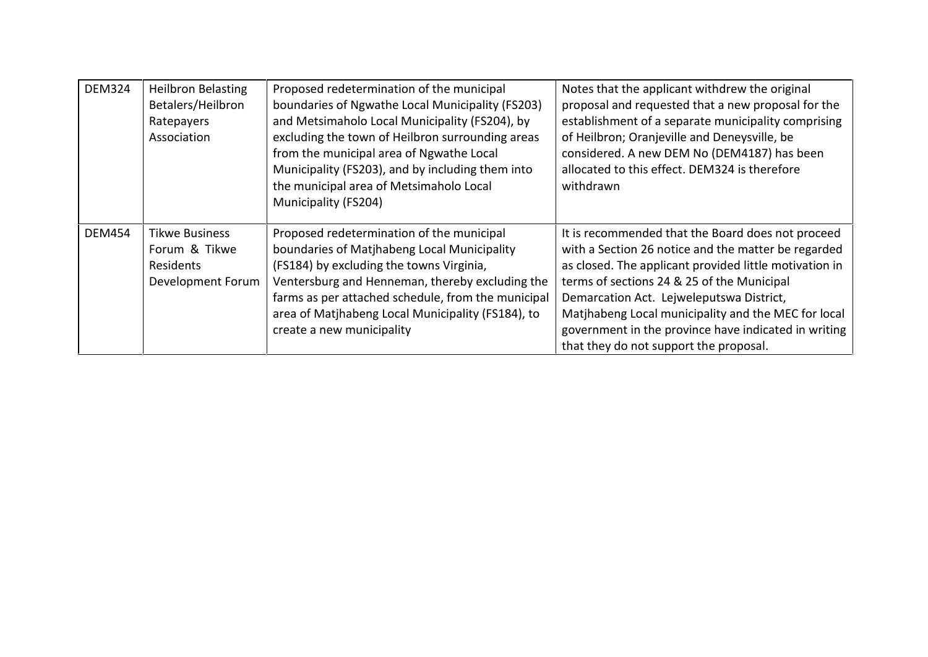| <b>DEM324</b> | <b>Heilbron Belasting</b> | Proposed redetermination of the municipal          | Notes that the applicant withdrew the original         |
|---------------|---------------------------|----------------------------------------------------|--------------------------------------------------------|
|               | Betalers/Heilbron         | boundaries of Ngwathe Local Municipality (FS203)   | proposal and requested that a new proposal for the     |
|               | Ratepayers                | and Metsimaholo Local Municipality (FS204), by     | establishment of a separate municipality comprising    |
|               | Association               | excluding the town of Heilbron surrounding areas   | of Heilbron; Oranjeville and Deneysville, be           |
|               |                           | from the municipal area of Ngwathe Local           | considered. A new DEM No (DEM4187) has been            |
|               |                           | Municipality (FS203), and by including them into   | allocated to this effect. DEM324 is therefore          |
|               |                           | the municipal area of Metsimaholo Local            | withdrawn                                              |
|               |                           | Municipality (FS204)                               |                                                        |
|               |                           |                                                    |                                                        |
| <b>DEM454</b> | <b>Tikwe Business</b>     | Proposed redetermination of the municipal          | It is recommended that the Board does not proceed      |
|               | Forum & Tikwe             | boundaries of Matjhabeng Local Municipality        | with a Section 26 notice and the matter be regarded    |
|               | <b>Residents</b>          | (FS184) by excluding the towns Virginia,           | as closed. The applicant provided little motivation in |
|               | Development Forum         | Ventersburg and Henneman, thereby excluding the    | terms of sections 24 & 25 of the Municipal             |
|               |                           | farms as per attached schedule, from the municipal | Demarcation Act. Lejweleputswa District,               |
|               |                           | area of Matjhabeng Local Municipality (FS184), to  | Matjhabeng Local municipality and the MEC for local    |
|               |                           | create a new municipality                          | government in the province have indicated in writing   |
|               |                           |                                                    | that they do not support the proposal.                 |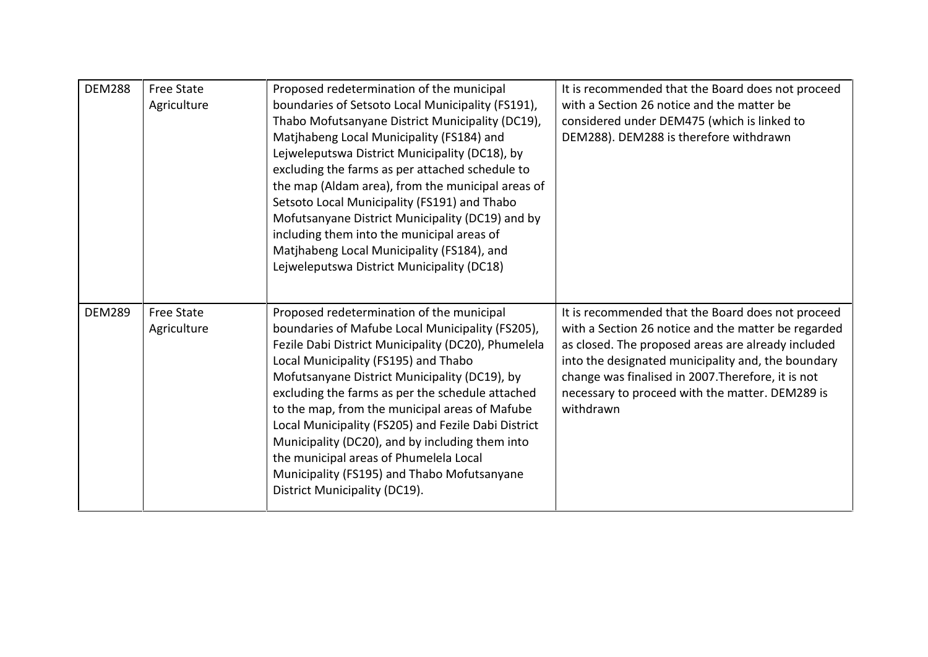| <b>DEM288</b> | <b>Free State</b><br>Agriculture | Proposed redetermination of the municipal<br>boundaries of Setsoto Local Municipality (FS191),<br>Thabo Mofutsanyane District Municipality (DC19),<br>Matjhabeng Local Municipality (FS184) and<br>Lejweleputswa District Municipality (DC18), by<br>excluding the farms as per attached schedule to<br>the map (Aldam area), from the municipal areas of<br>Setsoto Local Municipality (FS191) and Thabo<br>Mofutsanyane District Municipality (DC19) and by<br>including them into the municipal areas of<br>Matjhabeng Local Municipality (FS184), and<br>Lejweleputswa District Municipality (DC18) | It is recommended that the Board does not proceed<br>with a Section 26 notice and the matter be<br>considered under DEM475 (which is linked to<br>DEM288). DEM288 is therefore withdrawn                                                                                                                                                   |
|---------------|----------------------------------|---------------------------------------------------------------------------------------------------------------------------------------------------------------------------------------------------------------------------------------------------------------------------------------------------------------------------------------------------------------------------------------------------------------------------------------------------------------------------------------------------------------------------------------------------------------------------------------------------------|--------------------------------------------------------------------------------------------------------------------------------------------------------------------------------------------------------------------------------------------------------------------------------------------------------------------------------------------|
| <b>DEM289</b> | <b>Free State</b><br>Agriculture | Proposed redetermination of the municipal<br>boundaries of Mafube Local Municipality (FS205),<br>Fezile Dabi District Municipality (DC20), Phumelela<br>Local Municipality (FS195) and Thabo<br>Mofutsanyane District Municipality (DC19), by<br>excluding the farms as per the schedule attached<br>to the map, from the municipal areas of Mafube<br>Local Municipality (FS205) and Fezile Dabi District<br>Municipality (DC20), and by including them into<br>the municipal areas of Phumelela Local<br>Municipality (FS195) and Thabo Mofutsanyane<br>District Municipality (DC19).                 | It is recommended that the Board does not proceed<br>with a Section 26 notice and the matter be regarded<br>as closed. The proposed areas are already included<br>into the designated municipality and, the boundary<br>change was finalised in 2007. Therefore, it is not<br>necessary to proceed with the matter. DEM289 is<br>withdrawn |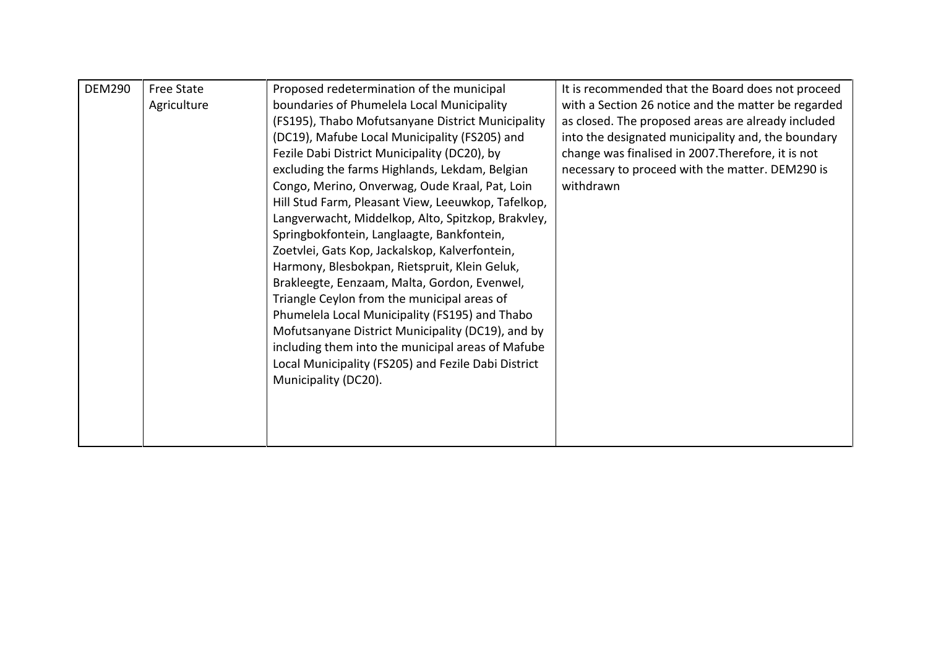| <b>DEM290</b> | <b>Free State</b> | Proposed redetermination of the municipal           | It is recommended that the Board does not proceed   |
|---------------|-------------------|-----------------------------------------------------|-----------------------------------------------------|
|               | Agriculture       | boundaries of Phumelela Local Municipality          | with a Section 26 notice and the matter be regarded |
|               |                   | (FS195), Thabo Mofutsanyane District Municipality   | as closed. The proposed areas are already included  |
|               |                   | (DC19), Mafube Local Municipality (FS205) and       | into the designated municipality and, the boundary  |
|               |                   | Fezile Dabi District Municipality (DC20), by        | change was finalised in 2007. Therefore, it is not  |
|               |                   | excluding the farms Highlands, Lekdam, Belgian      | necessary to proceed with the matter. DEM290 is     |
|               |                   | Congo, Merino, Onverwag, Oude Kraal, Pat, Loin      | withdrawn                                           |
|               |                   | Hill Stud Farm, Pleasant View, Leeuwkop, Tafelkop,  |                                                     |
|               |                   | Langverwacht, Middelkop, Alto, Spitzkop, Brakvley,  |                                                     |
|               |                   | Springbokfontein, Langlaagte, Bankfontein,          |                                                     |
|               |                   | Zoetvlei, Gats Kop, Jackalskop, Kalverfontein,      |                                                     |
|               |                   | Harmony, Blesbokpan, Rietspruit, Klein Geluk,       |                                                     |
|               |                   | Brakleegte, Eenzaam, Malta, Gordon, Evenwel,        |                                                     |
|               |                   | Triangle Ceylon from the municipal areas of         |                                                     |
|               |                   | Phumelela Local Municipality (FS195) and Thabo      |                                                     |
|               |                   | Mofutsanyane District Municipality (DC19), and by   |                                                     |
|               |                   | including them into the municipal areas of Mafube   |                                                     |
|               |                   | Local Municipality (FS205) and Fezile Dabi District |                                                     |
|               |                   | Municipality (DC20).                                |                                                     |
|               |                   |                                                     |                                                     |
|               |                   |                                                     |                                                     |
|               |                   |                                                     |                                                     |
|               |                   |                                                     |                                                     |
|               |                   |                                                     |                                                     |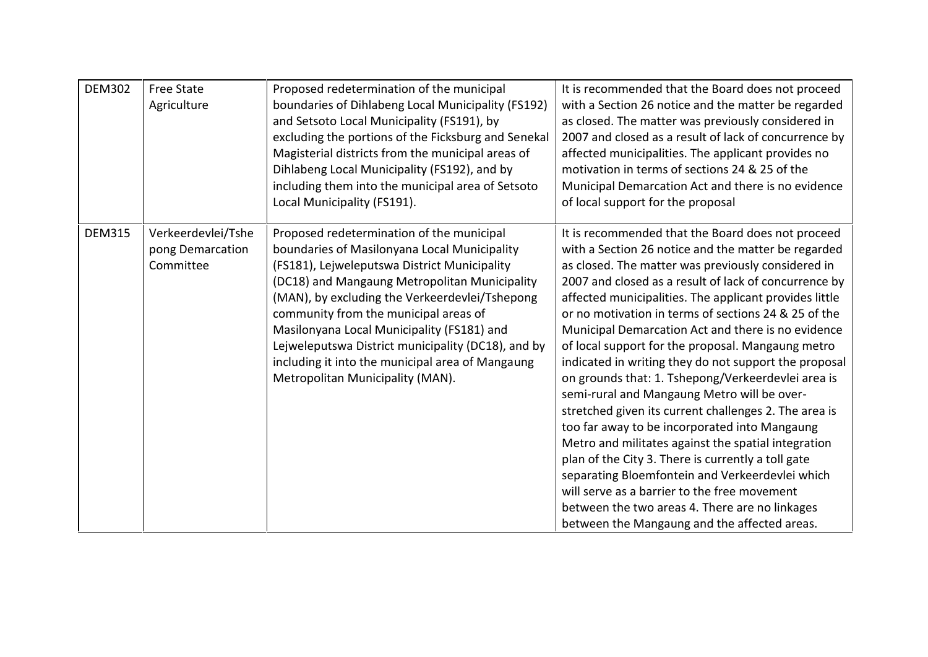| <b>DEM302</b> | <b>Free State</b><br>Agriculture                    | Proposed redetermination of the municipal<br>boundaries of Dihlabeng Local Municipality (FS192)<br>and Setsoto Local Municipality (FS191), by<br>excluding the portions of the Ficksburg and Senekal<br>Magisterial districts from the municipal areas of<br>Dihlabeng Local Municipality (FS192), and by<br>including them into the municipal area of Setsoto<br>Local Municipality (FS191).                                                                                     | It is recommended that the Board does not proceed<br>with a Section 26 notice and the matter be regarded<br>as closed. The matter was previously considered in<br>2007 and closed as a result of lack of concurrence by<br>affected municipalities. The applicant provides no<br>motivation in terms of sections 24 & 25 of the<br>Municipal Demarcation Act and there is no evidence<br>of local support for the proposal                                                                                                                                                                                                                                                                                                                                                                                                                                                                                                                                                                                                                     |
|---------------|-----------------------------------------------------|-----------------------------------------------------------------------------------------------------------------------------------------------------------------------------------------------------------------------------------------------------------------------------------------------------------------------------------------------------------------------------------------------------------------------------------------------------------------------------------|------------------------------------------------------------------------------------------------------------------------------------------------------------------------------------------------------------------------------------------------------------------------------------------------------------------------------------------------------------------------------------------------------------------------------------------------------------------------------------------------------------------------------------------------------------------------------------------------------------------------------------------------------------------------------------------------------------------------------------------------------------------------------------------------------------------------------------------------------------------------------------------------------------------------------------------------------------------------------------------------------------------------------------------------|
| <b>DEM315</b> | Verkeerdevlei/Tshe<br>pong Demarcation<br>Committee | Proposed redetermination of the municipal<br>boundaries of Masilonyana Local Municipality<br>(FS181), Lejweleputswa District Municipality<br>(DC18) and Mangaung Metropolitan Municipality<br>(MAN), by excluding the Verkeerdevlei/Tshepong<br>community from the municipal areas of<br>Masilonyana Local Municipality (FS181) and<br>Lejweleputswa District municipality (DC18), and by<br>including it into the municipal area of Mangaung<br>Metropolitan Municipality (MAN). | It is recommended that the Board does not proceed<br>with a Section 26 notice and the matter be regarded<br>as closed. The matter was previously considered in<br>2007 and closed as a result of lack of concurrence by<br>affected municipalities. The applicant provides little<br>or no motivation in terms of sections 24 & 25 of the<br>Municipal Demarcation Act and there is no evidence<br>of local support for the proposal. Mangaung metro<br>indicated in writing they do not support the proposal<br>on grounds that: 1. Tshepong/Verkeerdevlei area is<br>semi-rural and Mangaung Metro will be over-<br>stretched given its current challenges 2. The area is<br>too far away to be incorporated into Mangaung<br>Metro and militates against the spatial integration<br>plan of the City 3. There is currently a toll gate<br>separating Bloemfontein and Verkeerdevlei which<br>will serve as a barrier to the free movement<br>between the two areas 4. There are no linkages<br>between the Mangaung and the affected areas. |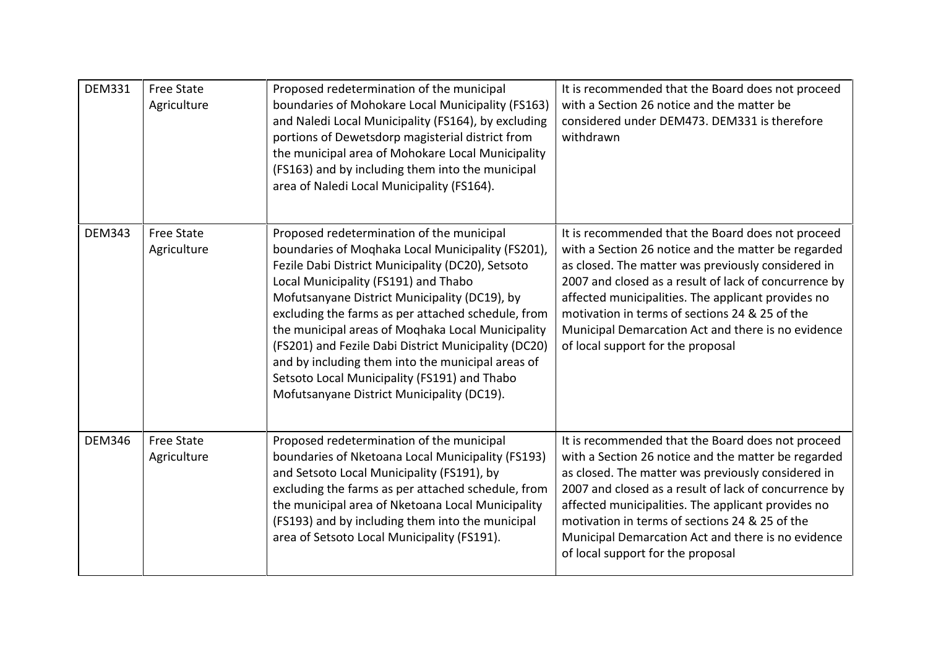| <b>DEM331</b> | <b>Free State</b><br>Agriculture | Proposed redetermination of the municipal<br>boundaries of Mohokare Local Municipality (FS163)<br>and Naledi Local Municipality (FS164), by excluding<br>portions of Dewetsdorp magisterial district from<br>the municipal area of Mohokare Local Municipality<br>(FS163) and by including them into the municipal<br>area of Naledi Local Municipality (FS164).                                                                                                                                                                                                   | It is recommended that the Board does not proceed<br>with a Section 26 notice and the matter be<br>considered under DEM473. DEM331 is therefore<br>withdrawn                                                                                                                                                                                                                                                               |
|---------------|----------------------------------|--------------------------------------------------------------------------------------------------------------------------------------------------------------------------------------------------------------------------------------------------------------------------------------------------------------------------------------------------------------------------------------------------------------------------------------------------------------------------------------------------------------------------------------------------------------------|----------------------------------------------------------------------------------------------------------------------------------------------------------------------------------------------------------------------------------------------------------------------------------------------------------------------------------------------------------------------------------------------------------------------------|
| <b>DEM343</b> | <b>Free State</b><br>Agriculture | Proposed redetermination of the municipal<br>boundaries of Moqhaka Local Municipality (FS201),<br>Fezile Dabi District Municipality (DC20), Setsoto<br>Local Municipality (FS191) and Thabo<br>Mofutsanyane District Municipality (DC19), by<br>excluding the farms as per attached schedule, from<br>the municipal areas of Moqhaka Local Municipality<br>(FS201) and Fezile Dabi District Municipality (DC20)<br>and by including them into the municipal areas of<br>Setsoto Local Municipality (FS191) and Thabo<br>Mofutsanyane District Municipality (DC19). | It is recommended that the Board does not proceed<br>with a Section 26 notice and the matter be regarded<br>as closed. The matter was previously considered in<br>2007 and closed as a result of lack of concurrence by<br>affected municipalities. The applicant provides no<br>motivation in terms of sections 24 & 25 of the<br>Municipal Demarcation Act and there is no evidence<br>of local support for the proposal |
| <b>DEM346</b> | <b>Free State</b><br>Agriculture | Proposed redetermination of the municipal<br>boundaries of Nketoana Local Municipality (FS193)<br>and Setsoto Local Municipality (FS191), by<br>excluding the farms as per attached schedule, from<br>the municipal area of Nketoana Local Municipality<br>(FS193) and by including them into the municipal<br>area of Setsoto Local Municipality (FS191).                                                                                                                                                                                                         | It is recommended that the Board does not proceed<br>with a Section 26 notice and the matter be regarded<br>as closed. The matter was previously considered in<br>2007 and closed as a result of lack of concurrence by<br>affected municipalities. The applicant provides no<br>motivation in terms of sections 24 & 25 of the<br>Municipal Demarcation Act and there is no evidence<br>of local support for the proposal |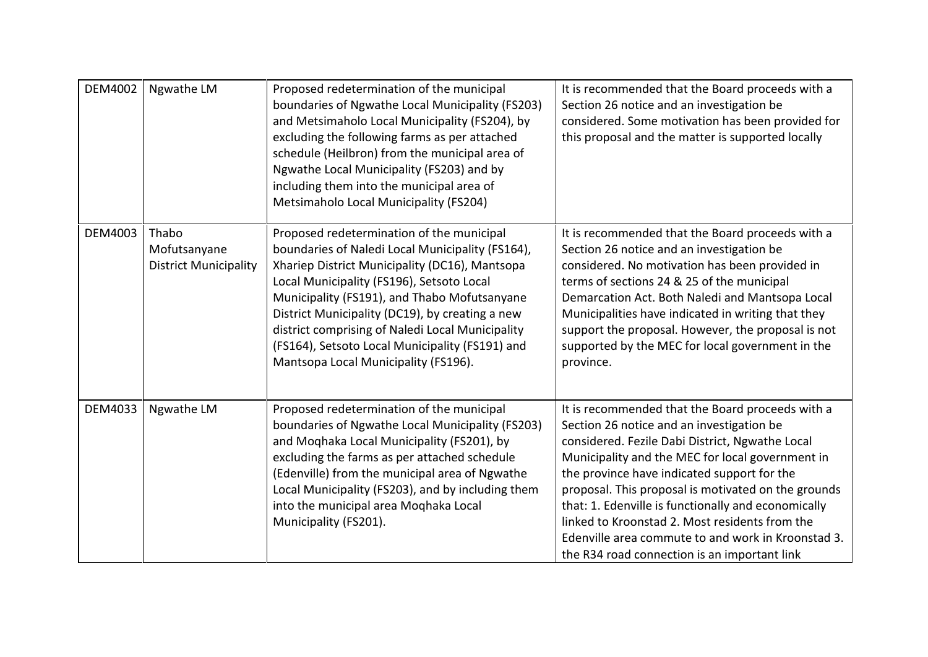| <b>DEM4002</b> | Ngwathe LM                                            | Proposed redetermination of the municipal<br>boundaries of Ngwathe Local Municipality (FS203)<br>and Metsimaholo Local Municipality (FS204), by<br>excluding the following farms as per attached<br>schedule (Heilbron) from the municipal area of<br>Ngwathe Local Municipality (FS203) and by<br>including them into the municipal area of<br>Metsimaholo Local Municipality (FS204)                                                         | It is recommended that the Board proceeds with a<br>Section 26 notice and an investigation be<br>considered. Some motivation has been provided for<br>this proposal and the matter is supported locally                                                                                                                                                                                                                                                                                                                   |
|----------------|-------------------------------------------------------|------------------------------------------------------------------------------------------------------------------------------------------------------------------------------------------------------------------------------------------------------------------------------------------------------------------------------------------------------------------------------------------------------------------------------------------------|---------------------------------------------------------------------------------------------------------------------------------------------------------------------------------------------------------------------------------------------------------------------------------------------------------------------------------------------------------------------------------------------------------------------------------------------------------------------------------------------------------------------------|
| <b>DEM4003</b> | Thabo<br>Mofutsanyane<br><b>District Municipality</b> | Proposed redetermination of the municipal<br>boundaries of Naledi Local Municipality (FS164),<br>Xhariep District Municipality (DC16), Mantsopa<br>Local Municipality (FS196), Setsoto Local<br>Municipality (FS191), and Thabo Mofutsanyane<br>District Municipality (DC19), by creating a new<br>district comprising of Naledi Local Municipality<br>(FS164), Setsoto Local Municipality (FS191) and<br>Mantsopa Local Municipality (FS196). | It is recommended that the Board proceeds with a<br>Section 26 notice and an investigation be<br>considered. No motivation has been provided in<br>terms of sections 24 & 25 of the municipal<br>Demarcation Act. Both Naledi and Mantsopa Local<br>Municipalities have indicated in writing that they<br>support the proposal. However, the proposal is not<br>supported by the MEC for local government in the<br>province.                                                                                             |
| DEM4033        | Ngwathe LM                                            | Proposed redetermination of the municipal<br>boundaries of Ngwathe Local Municipality (FS203)<br>and Moqhaka Local Municipality (FS201), by<br>excluding the farms as per attached schedule<br>(Edenville) from the municipal area of Ngwathe<br>Local Municipality (FS203), and by including them<br>into the municipal area Moqhaka Local<br>Municipality (FS201).                                                                           | It is recommended that the Board proceeds with a<br>Section 26 notice and an investigation be<br>considered. Fezile Dabi District, Ngwathe Local<br>Municipality and the MEC for local government in<br>the province have indicated support for the<br>proposal. This proposal is motivated on the grounds<br>that: 1. Edenville is functionally and economically<br>linked to Kroonstad 2. Most residents from the<br>Edenville area commute to and work in Kroonstad 3.<br>the R34 road connection is an important link |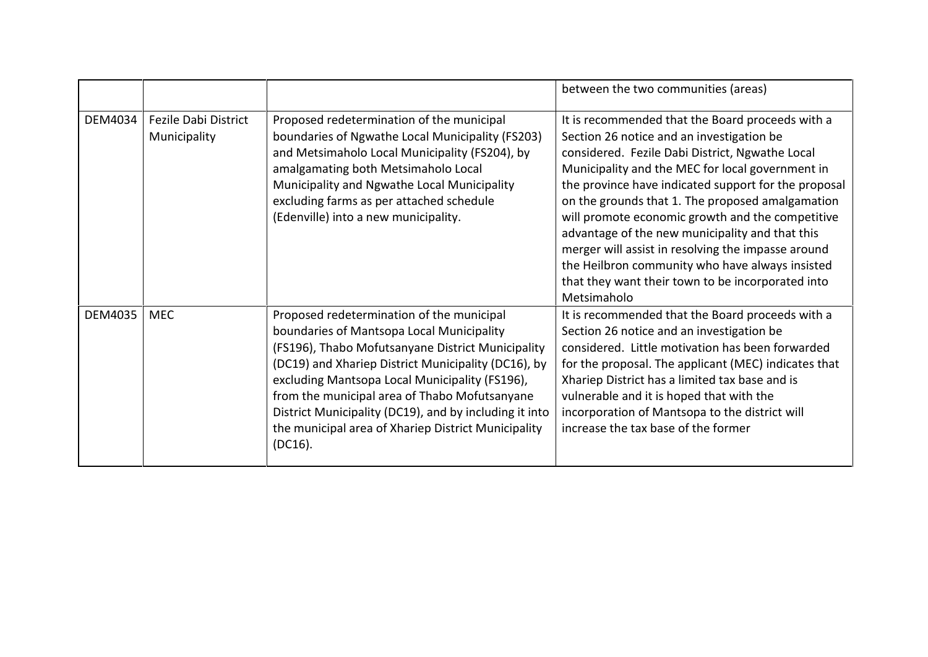|         |                                      |                                                                                                                                                                                                                                                                                                                                                                                                                                      | between the two communities (areas)                                                                                                                                                                                                                                                                                                                                                                                                                                                                                                                                                                  |
|---------|--------------------------------------|--------------------------------------------------------------------------------------------------------------------------------------------------------------------------------------------------------------------------------------------------------------------------------------------------------------------------------------------------------------------------------------------------------------------------------------|------------------------------------------------------------------------------------------------------------------------------------------------------------------------------------------------------------------------------------------------------------------------------------------------------------------------------------------------------------------------------------------------------------------------------------------------------------------------------------------------------------------------------------------------------------------------------------------------------|
| DEM4034 | Fezile Dabi District<br>Municipality | Proposed redetermination of the municipal<br>boundaries of Ngwathe Local Municipality (FS203)<br>and Metsimaholo Local Municipality (FS204), by<br>amalgamating both Metsimaholo Local<br>Municipality and Ngwathe Local Municipality<br>excluding farms as per attached schedule<br>(Edenville) into a new municipality.                                                                                                            | It is recommended that the Board proceeds with a<br>Section 26 notice and an investigation be<br>considered. Fezile Dabi District, Ngwathe Local<br>Municipality and the MEC for local government in<br>the province have indicated support for the proposal<br>on the grounds that 1. The proposed amalgamation<br>will promote economic growth and the competitive<br>advantage of the new municipality and that this<br>merger will assist in resolving the impasse around<br>the Heilbron community who have always insisted<br>that they want their town to be incorporated into<br>Metsimaholo |
| DEM4035 | <b>MEC</b>                           | Proposed redetermination of the municipal<br>boundaries of Mantsopa Local Municipality<br>(FS196), Thabo Mofutsanyane District Municipality<br>(DC19) and Xhariep District Municipality (DC16), by<br>excluding Mantsopa Local Municipality (FS196),<br>from the municipal area of Thabo Mofutsanyane<br>District Municipality (DC19), and by including it into<br>the municipal area of Xhariep District Municipality<br>$(DC16)$ . | It is recommended that the Board proceeds with a<br>Section 26 notice and an investigation be<br>considered. Little motivation has been forwarded<br>for the proposal. The applicant (MEC) indicates that<br>Xhariep District has a limited tax base and is<br>vulnerable and it is hoped that with the<br>incorporation of Mantsopa to the district will<br>increase the tax base of the former                                                                                                                                                                                                     |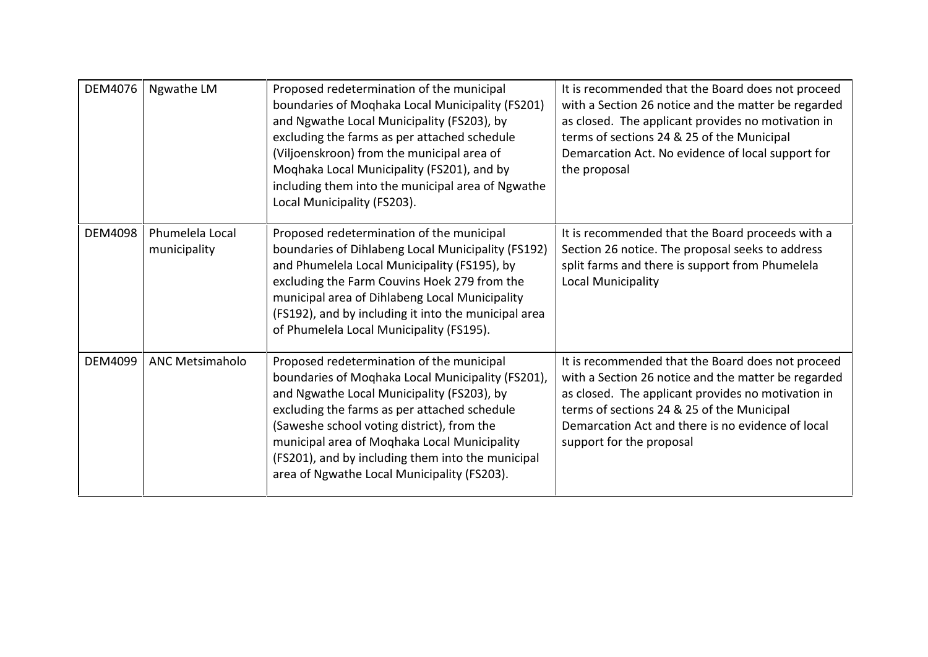| DEM4076        | Ngwathe LM                      | Proposed redetermination of the municipal<br>boundaries of Moghaka Local Municipality (FS201)<br>and Ngwathe Local Municipality (FS203), by<br>excluding the farms as per attached schedule<br>(Viljoenskroon) from the municipal area of<br>Moqhaka Local Municipality (FS201), and by<br>including them into the municipal area of Ngwathe<br>Local Municipality (FS203).                    | It is recommended that the Board does not proceed<br>with a Section 26 notice and the matter be regarded<br>as closed. The applicant provides no motivation in<br>terms of sections 24 & 25 of the Municipal<br>Demarcation Act. No evidence of local support for<br>the proposal             |
|----------------|---------------------------------|------------------------------------------------------------------------------------------------------------------------------------------------------------------------------------------------------------------------------------------------------------------------------------------------------------------------------------------------------------------------------------------------|-----------------------------------------------------------------------------------------------------------------------------------------------------------------------------------------------------------------------------------------------------------------------------------------------|
| <b>DEM4098</b> | Phumelela Local<br>municipality | Proposed redetermination of the municipal<br>boundaries of Dihlabeng Local Municipality (FS192)<br>and Phumelela Local Municipality (FS195), by<br>excluding the Farm Couvins Hoek 279 from the<br>municipal area of Dihlabeng Local Municipality<br>(FS192), and by including it into the municipal area<br>of Phumelela Local Municipality (FS195).                                          | It is recommended that the Board proceeds with a<br>Section 26 notice. The proposal seeks to address<br>split farms and there is support from Phumelela<br>Local Municipality                                                                                                                 |
| DEM4099        | <b>ANC Metsimaholo</b>          | Proposed redetermination of the municipal<br>boundaries of Moqhaka Local Municipality (FS201),<br>and Ngwathe Local Municipality (FS203), by<br>excluding the farms as per attached schedule<br>(Saweshe school voting district), from the<br>municipal area of Moqhaka Local Municipality<br>(FS201), and by including them into the municipal<br>area of Ngwathe Local Municipality (FS203). | It is recommended that the Board does not proceed<br>with a Section 26 notice and the matter be regarded<br>as closed. The applicant provides no motivation in<br>terms of sections 24 & 25 of the Municipal<br>Demarcation Act and there is no evidence of local<br>support for the proposal |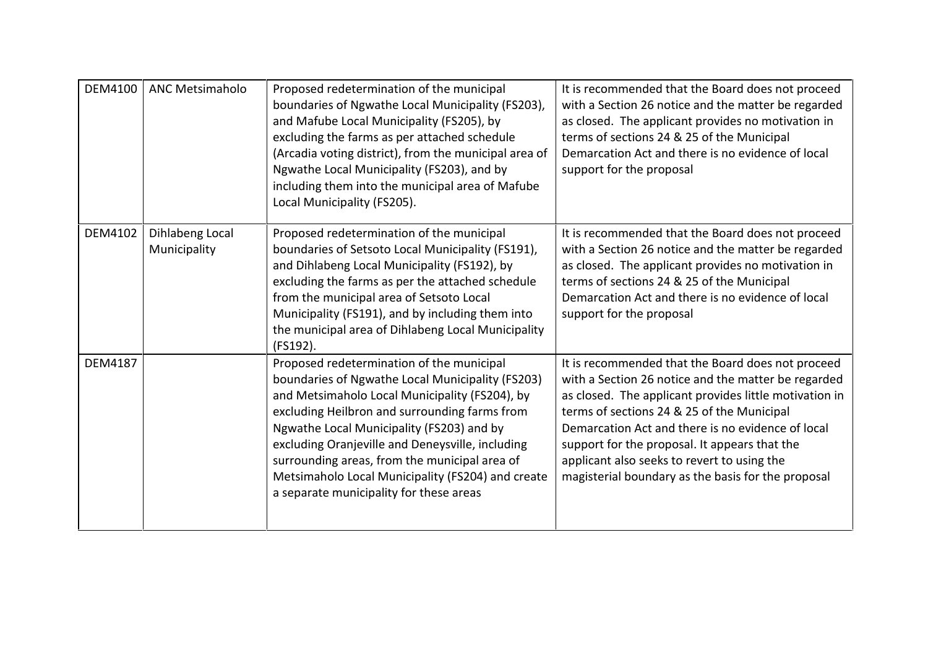| DEM4100        | <b>ANC Metsimaholo</b>          | Proposed redetermination of the municipal<br>boundaries of Ngwathe Local Municipality (FS203),<br>and Mafube Local Municipality (FS205), by<br>excluding the farms as per attached schedule<br>(Arcadia voting district), from the municipal area of<br>Ngwathe Local Municipality (FS203), and by<br>including them into the municipal area of Mafube<br>Local Municipality (FS205).                                                              | It is recommended that the Board does not proceed<br>with a Section 26 notice and the matter be regarded<br>as closed. The applicant provides no motivation in<br>terms of sections 24 & 25 of the Municipal<br>Demarcation Act and there is no evidence of local<br>support for the proposal                                                                                                                               |
|----------------|---------------------------------|----------------------------------------------------------------------------------------------------------------------------------------------------------------------------------------------------------------------------------------------------------------------------------------------------------------------------------------------------------------------------------------------------------------------------------------------------|-----------------------------------------------------------------------------------------------------------------------------------------------------------------------------------------------------------------------------------------------------------------------------------------------------------------------------------------------------------------------------------------------------------------------------|
| DEM4102        | Dihlabeng Local<br>Municipality | Proposed redetermination of the municipal<br>boundaries of Setsoto Local Municipality (FS191),<br>and Dihlabeng Local Municipality (FS192), by<br>excluding the farms as per the attached schedule<br>from the municipal area of Setsoto Local<br>Municipality (FS191), and by including them into<br>the municipal area of Dihlabeng Local Municipality<br>(FS192).                                                                               | It is recommended that the Board does not proceed<br>with a Section 26 notice and the matter be regarded<br>as closed. The applicant provides no motivation in<br>terms of sections 24 & 25 of the Municipal<br>Demarcation Act and there is no evidence of local<br>support for the proposal                                                                                                                               |
| <b>DEM4187</b> |                                 | Proposed redetermination of the municipal<br>boundaries of Ngwathe Local Municipality (FS203)<br>and Metsimaholo Local Municipality (FS204), by<br>excluding Heilbron and surrounding farms from<br>Ngwathe Local Municipality (FS203) and by<br>excluding Oranjeville and Deneysville, including<br>surrounding areas, from the municipal area of<br>Metsimaholo Local Municipality (FS204) and create<br>a separate municipality for these areas | It is recommended that the Board does not proceed<br>with a Section 26 notice and the matter be regarded<br>as closed. The applicant provides little motivation in<br>terms of sections 24 & 25 of the Municipal<br>Demarcation Act and there is no evidence of local<br>support for the proposal. It appears that the<br>applicant also seeks to revert to using the<br>magisterial boundary as the basis for the proposal |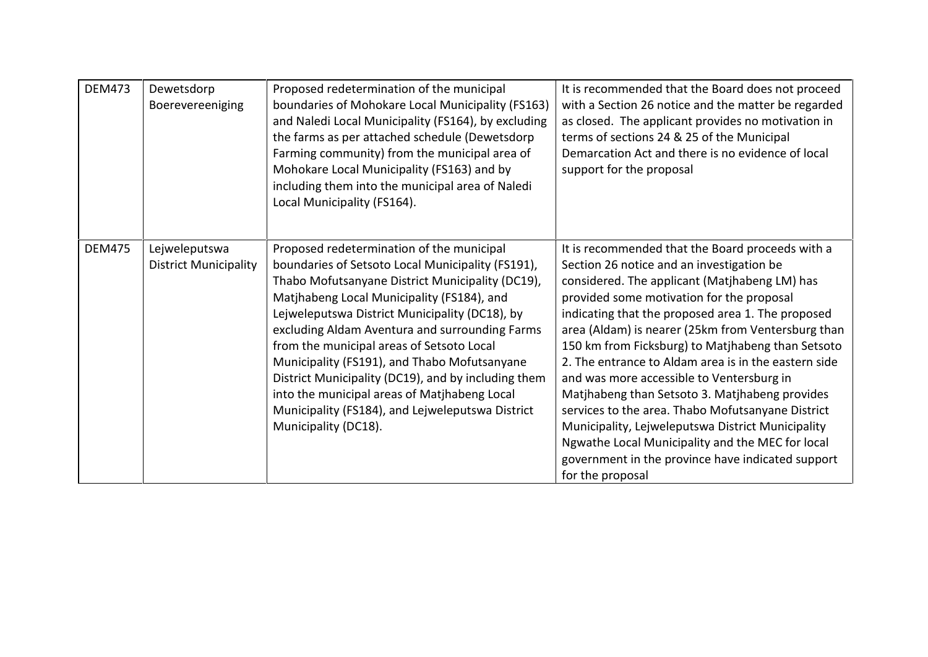| <b>DEM473</b> | Dewetsdorp<br>Boerevereeniging                | Proposed redetermination of the municipal<br>boundaries of Mohokare Local Municipality (FS163)<br>and Naledi Local Municipality (FS164), by excluding<br>the farms as per attached schedule (Dewetsdorp<br>Farming community) from the municipal area of<br>Mohokare Local Municipality (FS163) and by<br>including them into the municipal area of Naledi<br>Local Municipality (FS164).                                                                                                                                                                                            | It is recommended that the Board does not proceed<br>with a Section 26 notice and the matter be regarded<br>as closed. The applicant provides no motivation in<br>terms of sections 24 & 25 of the Municipal<br>Demarcation Act and there is no evidence of local<br>support for the proposal                                                                                                                                                                                                                                                                                                                                                                                                                                                             |
|---------------|-----------------------------------------------|--------------------------------------------------------------------------------------------------------------------------------------------------------------------------------------------------------------------------------------------------------------------------------------------------------------------------------------------------------------------------------------------------------------------------------------------------------------------------------------------------------------------------------------------------------------------------------------|-----------------------------------------------------------------------------------------------------------------------------------------------------------------------------------------------------------------------------------------------------------------------------------------------------------------------------------------------------------------------------------------------------------------------------------------------------------------------------------------------------------------------------------------------------------------------------------------------------------------------------------------------------------------------------------------------------------------------------------------------------------|
| <b>DEM475</b> | Lejweleputswa<br><b>District Municipality</b> | Proposed redetermination of the municipal<br>boundaries of Setsoto Local Municipality (FS191),<br>Thabo Mofutsanyane District Municipality (DC19),<br>Matjhabeng Local Municipality (FS184), and<br>Lejweleputswa District Municipality (DC18), by<br>excluding Aldam Aventura and surrounding Farms<br>from the municipal areas of Setsoto Local<br>Municipality (FS191), and Thabo Mofutsanyane<br>District Municipality (DC19), and by including them<br>into the municipal areas of Matjhabeng Local<br>Municipality (FS184), and Lejweleputswa District<br>Municipality (DC18). | It is recommended that the Board proceeds with a<br>Section 26 notice and an investigation be<br>considered. The applicant (Matjhabeng LM) has<br>provided some motivation for the proposal<br>indicating that the proposed area 1. The proposed<br>area (Aldam) is nearer (25km from Ventersburg than<br>150 km from Ficksburg) to Matjhabeng than Setsoto<br>2. The entrance to Aldam area is in the eastern side<br>and was more accessible to Ventersburg in<br>Matjhabeng than Setsoto 3. Matjhabeng provides<br>services to the area. Thabo Mofutsanyane District<br>Municipality, Lejweleputswa District Municipality<br>Ngwathe Local Municipality and the MEC for local<br>government in the province have indicated support<br>for the proposal |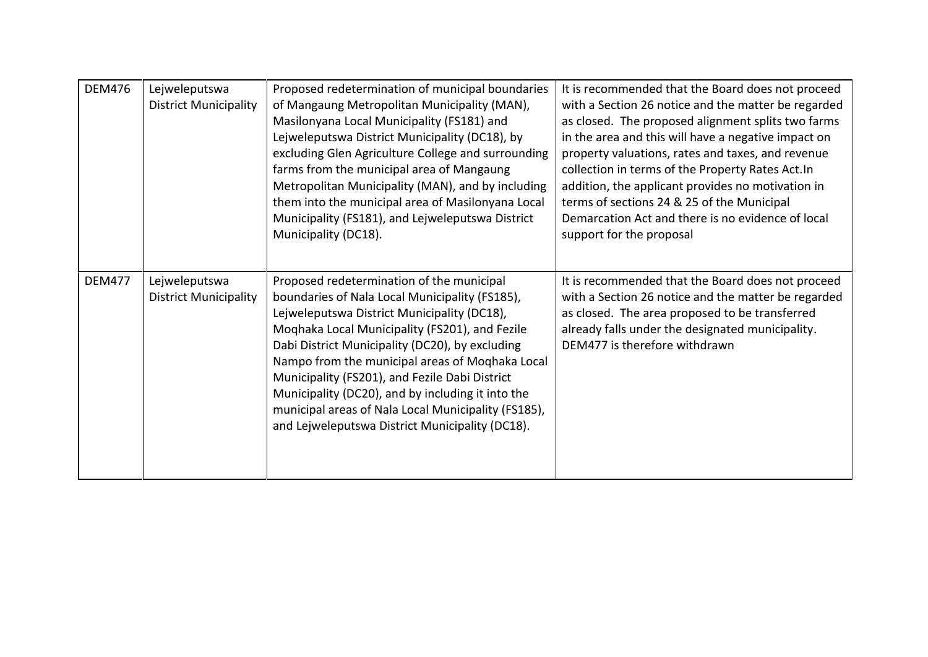| <b>DEM476</b> | Lejweleputswa                | Proposed redetermination of municipal boundaries    | It is recommended that the Board does not proceed   |
|---------------|------------------------------|-----------------------------------------------------|-----------------------------------------------------|
|               | <b>District Municipality</b> | of Mangaung Metropolitan Municipality (MAN),        | with a Section 26 notice and the matter be regarded |
|               |                              | Masilonyana Local Municipality (FS181) and          | as closed. The proposed alignment splits two farms  |
|               |                              | Lejweleputswa District Municipality (DC18), by      | in the area and this will have a negative impact on |
|               |                              | excluding Glen Agriculture College and surrounding  | property valuations, rates and taxes, and revenue   |
|               |                              | farms from the municipal area of Mangaung           | collection in terms of the Property Rates Act. In   |
|               |                              | Metropolitan Municipality (MAN), and by including   | addition, the applicant provides no motivation in   |
|               |                              | them into the municipal area of Masilonyana Local   | terms of sections 24 & 25 of the Municipal          |
|               |                              | Municipality (FS181), and Lejweleputswa District    | Demarcation Act and there is no evidence of local   |
|               |                              | Municipality (DC18).                                | support for the proposal                            |
|               |                              |                                                     |                                                     |
| <b>DEM477</b> | Lejweleputswa                | Proposed redetermination of the municipal           | It is recommended that the Board does not proceed   |
|               | <b>District Municipality</b> | boundaries of Nala Local Municipality (FS185),      | with a Section 26 notice and the matter be regarded |
|               |                              | Lejweleputswa District Municipality (DC18),         | as closed. The area proposed to be transferred      |
|               |                              | Moqhaka Local Municipality (FS201), and Fezile      | already falls under the designated municipality.    |
|               |                              | Dabi District Municipality (DC20), by excluding     | DEM477 is therefore withdrawn                       |
|               |                              | Nampo from the municipal areas of Moghaka Local     |                                                     |
|               |                              | Municipality (FS201), and Fezile Dabi District      |                                                     |
|               |                              | Municipality (DC20), and by including it into the   |                                                     |
|               |                              | municipal areas of Nala Local Municipality (FS185), |                                                     |
|               |                              | and Lejweleputswa District Municipality (DC18).     |                                                     |
|               |                              |                                                     |                                                     |
|               |                              |                                                     |                                                     |
|               |                              |                                                     |                                                     |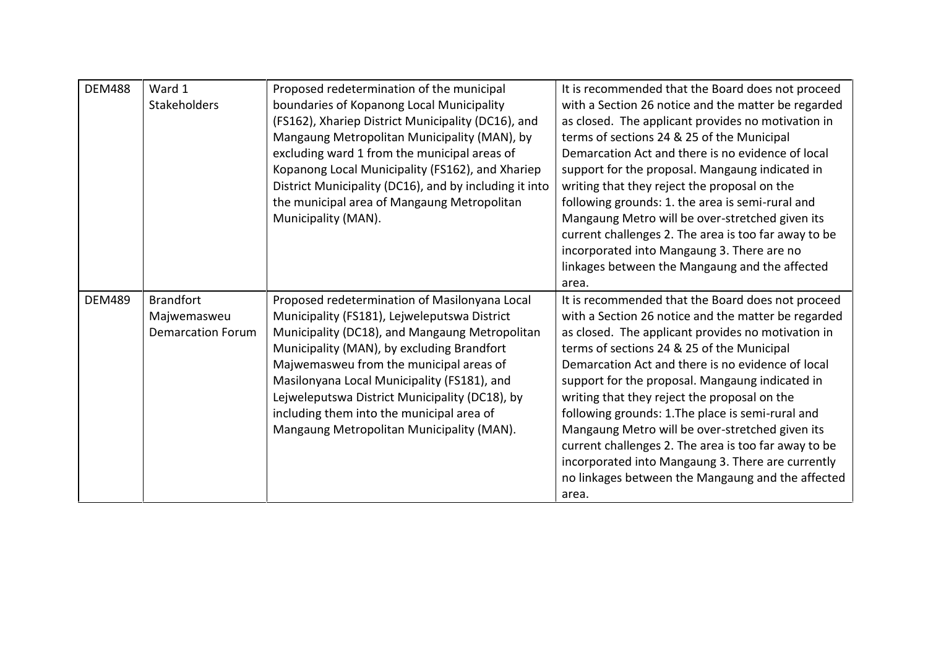| <b>DEM488</b> | Ward 1                   | Proposed redetermination of the municipal              | It is recommended that the Board does not proceed    |
|---------------|--------------------------|--------------------------------------------------------|------------------------------------------------------|
|               | <b>Stakeholders</b>      | boundaries of Kopanong Local Municipality              | with a Section 26 notice and the matter be regarded  |
|               |                          | (FS162), Xhariep District Municipality (DC16), and     | as closed. The applicant provides no motivation in   |
|               |                          | Mangaung Metropolitan Municipality (MAN), by           | terms of sections 24 & 25 of the Municipal           |
|               |                          | excluding ward 1 from the municipal areas of           | Demarcation Act and there is no evidence of local    |
|               |                          | Kopanong Local Municipality (FS162), and Xhariep       | support for the proposal. Mangaung indicated in      |
|               |                          | District Municipality (DC16), and by including it into | writing that they reject the proposal on the         |
|               |                          | the municipal area of Mangaung Metropolitan            | following grounds: 1. the area is semi-rural and     |
|               |                          | Municipality (MAN).                                    | Mangaung Metro will be over-stretched given its      |
|               |                          |                                                        | current challenges 2. The area is too far away to be |
|               |                          |                                                        | incorporated into Mangaung 3. There are no           |
|               |                          |                                                        | linkages between the Mangaung and the affected       |
|               |                          |                                                        | area.                                                |
| <b>DEM489</b> | <b>Brandfort</b>         | Proposed redetermination of Masilonyana Local          | It is recommended that the Board does not proceed    |
|               | Majwemasweu              | Municipality (FS181), Lejweleputswa District           | with a Section 26 notice and the matter be regarded  |
|               | <b>Demarcation Forum</b> | Municipality (DC18), and Mangaung Metropolitan         | as closed. The applicant provides no motivation in   |
|               |                          | Municipality (MAN), by excluding Brandfort             | terms of sections 24 & 25 of the Municipal           |
|               |                          | Majwemasweu from the municipal areas of                | Demarcation Act and there is no evidence of local    |
|               |                          | Masilonyana Local Municipality (FS181), and            | support for the proposal. Mangaung indicated in      |
|               |                          | Lejweleputswa District Municipality (DC18), by         | writing that they reject the proposal on the         |
|               |                          | including them into the municipal area of              | following grounds: 1. The place is semi-rural and    |
|               |                          | Mangaung Metropolitan Municipality (MAN).              | Mangaung Metro will be over-stretched given its      |
|               |                          |                                                        | current challenges 2. The area is too far away to be |
|               |                          |                                                        | incorporated into Mangaung 3. There are currently    |
|               |                          |                                                        | no linkages between the Mangaung and the affected    |
|               |                          |                                                        | area.                                                |